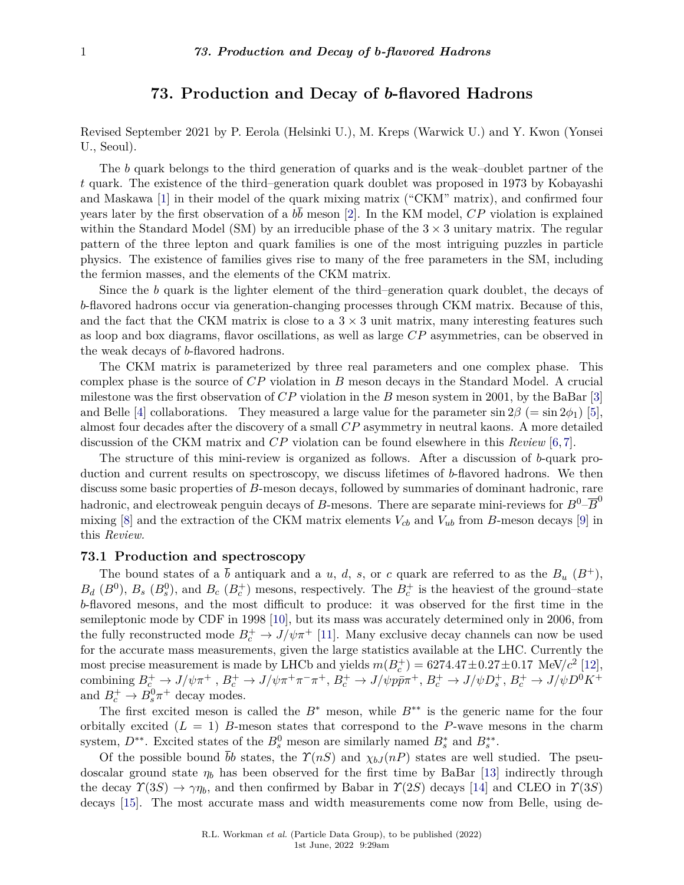# **73. Production and Decay of** *b***-flavored Hadrons**

Revised September 2021 by P. Eerola (Helsinki U.), M. Kreps (Warwick U.) and Y. Kwon (Yonsei U., Seoul).

The *b* quark belongs to the third generation of quarks and is the weak-doublet partner of the *t* quark. The existence of the third–generation quark doublet was proposed in 1973 by Kobayashi and Maskawa [\[1\]](#page-13-0) in their model of the quark mixing matrix ("CKM" matrix), and confirmed four years later by the first observation of a  $b\bar{b}$  meson [\[2\]](#page-13-1). In the KM model,  $CP$  violation is explained within the Standard Model (SM) by an irreducible phase of the  $3 \times 3$  unitary matrix. The regular pattern of the three lepton and quark families is one of the most intriguing puzzles in particle physics. The existence of families gives rise to many of the free parameters in the SM, including the fermion masses, and the elements of the CKM matrix.

Since the *b* quark is the lighter element of the third–generation quark doublet, the decays of *b*-flavored hadrons occur via generation-changing processes through CKM matrix. Because of this, and the fact that the CKM matrix is close to a  $3 \times 3$  unit matrix, many interesting features such as loop and box diagrams, flavor oscillations, as well as large *CP* asymmetries, can be observed in the weak decays of *b*-flavored hadrons.

The CKM matrix is parameterized by three real parameters and one complex phase. This complex phase is the source of *CP* violation in *B* meson decays in the Standard Model. A crucial milestone was the first observation of *CP* violation in the *B* meson system in 2001, by the BaBar [\[3\]](#page-13-2) and Belle [\[4\]](#page-13-3) collaborations. They measured a large value for the parameter  $\sin 2\beta$  (=  $\sin 2\phi_1$ ) [\[5\]](#page-13-4), almost four decades after the discovery of a small *CP* asymmetry in neutral kaons. A more detailed discussion of the CKM matrix and *CP* violation can be found elsewhere in this *Review* [\[6,](#page-13-5) [7\]](#page-13-6).

The structure of this mini-review is organized as follows. After a discussion of *b*-quark production and current results on spectroscopy, we discuss lifetimes of *b*-flavored hadrons. We then discuss some basic properties of *B*-meson decays, followed by summaries of dominant hadronic, rare hadronic, and electroweak penguin decays of *B*-mesons. There are separate mini-reviews for  $B^0$ – $\overline{B}^0$ mixing  $[8]$  and the extraction of the CKM matrix elements  $V_{cb}$  and  $V_{ub}$  from *B*-meson decays  $[9]$  in this *Review.*

### **73.1 Production and spectroscopy**

The bound states of a  $\bar{b}$  antiquark and a *u*, *d*, *s*, or *c* quark are referred to as the  $B_u$  ( $B^+$ ),  $B_d$  ( $B^0$ ),  $B_s$  ( $B_s^0$ ), and  $B_c$  ( $B_c^+$ ) mesons, respectively. The  $B_c^+$  is the heaviest of the ground–state *b*-flavored mesons, and the most difficult to produce: it was observed for the first time in the semileptonic mode by CDF in 1998 [\[10\]](#page-13-9), but its mass was accurately determined only in 2006, from the fully reconstructed mode  $B_c^+ \to J/\psi \pi^+$  [\[11\]](#page-13-10). Many exclusive decay channels can now be used for the accurate mass measurements, given the large statistics available at the LHC. Currently the most precise measurement is made by LHCb and yields  $m(B_c^+) = 6274.47 \pm 0.27 \pm 0.17$  MeV/ $c^2$  [\[12\]](#page-13-11), combining  $B_c^+ \to J/\psi \pi^+$ ,  $B_c^+ \to J/\psi \pi^+ \pi^- \pi^+$ ,  $B_c^+ \to J/\psi p \bar{p} \pi^+$ ,  $B_c^+ \to J/\psi D_s^+$ ,  $B_c^+ \to J/\psi D^0 K^+$ and  $B_c^+ \to B_s^0 \pi^+$  decay modes.

The first excited meson is called the *B*<sup>∗</sup> meson, while *B*∗∗ is the generic name for the four orbitally excited  $(L = 1)$  *B*-meson states that correspond to the *P*-wave mesons in the charm system,  $D^{**}$ . Excited states of the  $B_s^0$  meson are similarly named  $B_s^*$  and  $B_s^{**}$ .

Of the possible bound  $\bar{b}b$  states, the  $\Upsilon(nS)$  and  $\chi_{bJ}(nP)$  states are well studied. The pseudoscalar ground state *η<sup>b</sup>* has been observed for the first time by BaBar [\[13\]](#page-13-12) indirectly through the decay  $\gamma(3S) \rightarrow \gamma\eta_b$ , and then confirmed by Babar in  $\gamma(2S)$  decays [\[14\]](#page-13-13) and CLEO in  $\gamma(3S)$ decays [\[15\]](#page-13-14). The most accurate mass and width measurements come now from Belle, using de-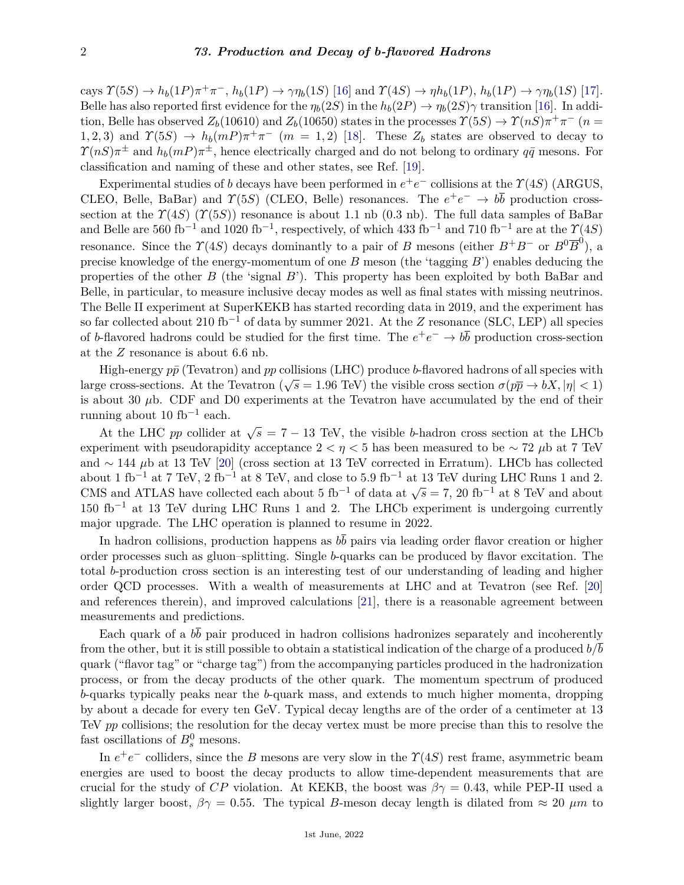cays  $\Upsilon(5S) \to h_b(1P)\pi^+\pi^-, h_b(1P) \to \gamma\eta_b(1S)$  [\[16\]](#page-13-15) and  $\Upsilon(4S) \to \eta h_b(1P), h_b(1P) \to \gamma\eta_b(1S)$  [\[17\]](#page-13-16). Belle has also reported first evidence for the  $\eta_b(2S)$  in the  $h_b(2P) \to \eta_b(2S)\gamma$  transition [\[16\]](#page-13-15). In addition, Belle has observed  $Z_b(10610)$  and  $Z_b(10650)$  states in the processes  $\Upsilon(5S) \to \Upsilon(nS)\pi^+\pi^-$  (*n* = 1,2,3) and  $\Upsilon(5S) \rightarrow h_b(mP)\pi^+\pi^-$  (*m* = 1,2) [\[18\]](#page-13-17). These  $Z_b$  states are observed to decay to  $\gamma(nS)\pi^{\pm}$  and  $h_b(mP)\pi^{\pm}$ , hence electrically charged and do not belong to ordinary  $q\bar{q}$  mesons. For classification and naming of these and other states, see Ref. [\[19\]](#page-13-18).

Experimental studies of *b* decays have been performed in  $e^+e^-$  collisions at the  $\gamma$ (4*S*) (ARGUS, CLEO, Belle, BaBar) and  $\Upsilon(5S)$  (CLEO, Belle) resonances. The  $e^+e^- \to b\bar{b}$  production crosssection at the  $\Upsilon(4S)$  ( $\Upsilon(5S)$ ) resonance is about 1.1 nb (0.3 nb). The full data samples of BaBar and Belle are 560 fb<sup>-1</sup> and 1020 fb<sup>-1</sup>, respectively, of which 433 fb<sup>-1</sup> and 710 fb<sup>-1</sup> are at the  $\Upsilon(4S)$ resonance. Since the  $\Upsilon(4S)$  decays dominantly to a pair of *B* mesons (either  $B^+B^-$  or  $B^0\overline{B}^0$ ), a precise knowledge of the energy-momentum of one *B* meson (the 'tagging *B*') enables deducing the properties of the other *B* (the 'signal *B*'). This property has been exploited by both BaBar and Belle, in particular, to measure inclusive decay modes as well as final states with missing neutrinos. The Belle II experiment at SuperKEKB has started recording data in 2019, and the experiment has so far collected about 210 fb−<sup>1</sup> of data by summer 2021. At the *Z* resonance (SLC, LEP) all species of *b*-flavored hadrons could be studied for the first time. The  $e^+e^- \to b\bar{b}$  production cross-section at the *Z* resonance is about 6*.*6 nb.

High-energy  $p\bar{p}$  (Tevatron) and  $pp$  collisions (LHC) produce *b*-flavored hadrons of all species with large cross-sections. At the Tevatron ( $\sqrt{s} = 1.96$  TeV) the visible cross section  $\sigma(p\bar{p} \to bX, |\eta| < 1)$ is about 30 *µ*b. CDF and D0 experiments at the Tevatron have accumulated by the end of their running about 10 fb<sup>-1</sup> each.

At the LHC *pp* collider at  $\sqrt{s} = 7 - 13$  TeV, the visible *b*-hadron cross section at the LHCb experiment with pseudorapidity acceptance  $2 < \eta < 5$  has been measured to be  $\sim 72 \mu$ b at 7 TeV and ∼ 144 *µ*b at 13 TeV [\[20\]](#page-13-19) (cross section at 13 TeV corrected in Erratum). LHCb has collected about 1 fb<sup>-1</sup> at 7 TeV, 2 fb<sup>-1</sup> at 8 TeV, and close to 5.9 fb<sup>-1</sup> at 13 TeV during LHC Runs 1 and 2. CMS and ATLAS have collected each about 5 fb<sup>-1</sup> of data at  $\sqrt{s} = 7$ , 20 fb<sup>-1</sup> at 8 TeV and about 6 fb<sup>-1</sup> of data at  $\sqrt{s} = 7$ , 20 fb<sup>-1</sup> at 8 TeV and about  $150$  fb<sup>-1</sup> at 13 TeV during LHC Runs 1 and 2. The LHCb experiment is undergoing currently major upgrade. The LHC operation is planned to resume in 2022.

In hadron collisions, production happens as  $b\bar{b}$  pairs via leading order flavor creation or higher order processes such as gluon–splitting. Single *b*-quarks can be produced by flavor excitation. The total *b*-production cross section is an interesting test of our understanding of leading and higher order QCD processes. With a wealth of measurements at LHC and at Tevatron (see Ref. [\[20\]](#page-13-19) and references therein), and improved calculations [\[21\]](#page-13-20), there is a reasonable agreement between measurements and predictions.

Each quark of a *bb* pair produced in hadron collisions hadronizes separately and incoherently from the other, but it is still possible to obtain a statistical indication of the charge of a produced *b/b* quark ("flavor tag" or "charge tag") from the accompanying particles produced in the hadronization process, or from the decay products of the other quark. The momentum spectrum of produced *b*-quarks typically peaks near the *b*-quark mass, and extends to much higher momenta, dropping by about a decade for every ten GeV. Typical decay lengths are of the order of a centimeter at 13 TeV *pp* collisions; the resolution for the decay vertex must be more precise than this to resolve the fast oscillations of  $B_s^0$  mesons.

In  $e^+e^-$  colliders, since the *B* mesons are very slow in the  $\gamma(4S)$  rest frame, asymmetric beam energies are used to boost the decay products to allow time-dependent measurements that are crucial for the study of *CP* violation. At KEKB, the boost was  $\beta \gamma = 0.43$ , while PEP-II used a slightly larger boost,  $\beta \gamma = 0.55$ . The typical *B*-meson decay length is dilated from  $\approx 20 \ \mu m$  to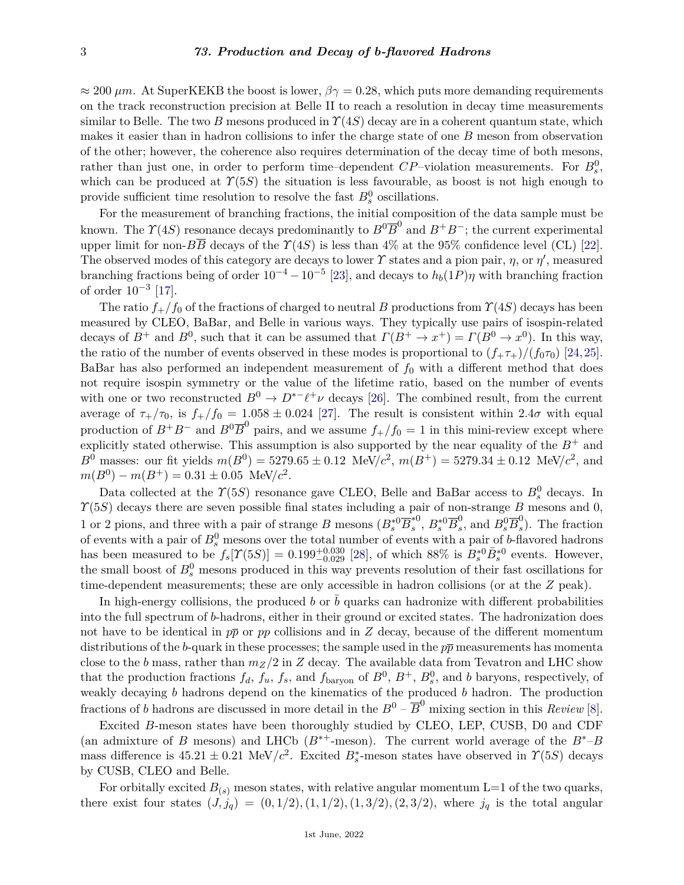$\approx 200 \ \mu m$ . At SuperKEKB the boost is lower,  $\beta \gamma = 0.28$ , which puts more demanding requirements on the track reconstruction precision at Belle II to reach a resolution in decay time measurements similar to Belle. The two *B* mesons produced in  $\gamma(4S)$  decay are in a coherent quantum state, which makes it easier than in hadron collisions to infer the charge state of one *B* meson from observation of the other; however, the coherence also requires determination of the decay time of both mesons, rather than just one, in order to perform time–dependent  $CP$ –violation measurements. For  $B_s^0$ , which can be produced at  $\Upsilon(5S)$  the situation is less favourable, as boost is not high enough to provide sufficient time resolution to resolve the fast  $B_s^0$  oscillations.

For the measurement of branching fractions, the initial composition of the data sample must be known. The  $\Upsilon(4S)$  resonance decays predominantly to  $B^0\overline{B}^0$  and  $B^+B^-$ ; the current experimental upper limit for non- $B\overline{B}$  decays of the  $\Upsilon(4S)$  is less than 4% at the 95% confidence level (CL) [\[22\]](#page-13-21). The observed modes of this category are decays to lower  $\gamma$  states and a pion pair,  $\eta$ , or  $\eta'$ , measured branching fractions being of order  $10^{-4} - 10^{-5}$  [\[23\]](#page-13-22), and decays to  $h_b(1P)\eta$  with branching fraction of order  $10^{-3}$  [\[17\]](#page-13-16).

The ratio  $f_{+}/f_0$  of the fractions of charged to neutral *B* productions from  $\gamma(4S)$  decays has been measured by CLEO, BaBar, and Belle in various ways. They typically use pairs of isospin-related decays of  $B^+$  and  $B^0$ , such that it can be assumed that  $\Gamma(B^+ \to x^+) = \Gamma(B^0 \to x^0)$ . In this way, the ratio of the number of events observed in these modes is proportional to  $(f_{+}\tau_{+})/(f_0\tau_0)$  [\[24,](#page-14-0) [25\]](#page-14-1). BaBar has also performed an independent measurement of  $f_0$  with a different method that does not require isospin symmetry or the value of the lifetime ratio, based on the number of events with one or two reconstructed  $B^0 \to D^{*-\ell+\nu}$  decays [\[26\]](#page-14-2). The combined result, from the current average of  $\tau_{+}/\tau_{0}$ , is  $f_{+}/f_{0} = 1.058 \pm 0.024$  [\[27\]](#page-14-3). The result is consistent within 2.4*σ* with equal production of  $B^+B^-$  and  $B^0\overline{B}^0$  pairs, and we assume  $f_+/f_0 = 1$  in this mini-review except where explicitly stated otherwise. This assumption is also supported by the near equality of the  $B^+$  and *B*<sup>0</sup> masses: our fit yields  $m(B^0) = 5279.65 \pm 0.12$  MeV/ $c^2$ ,  $m(B^+) = 5279.34 \pm 0.12$  MeV/ $c^2$ , and  $m(B^0) - m(B^+) = 0.31 \pm 0.05$  MeV/ $c^2$ .

Data collected at the  $\Upsilon(5S)$  resonance gave CLEO, Belle and BaBar access to  $B_s^0$  decays. In *Υ*(5*S*) decays there are seven possible final states including a pair of non-strange *B* mesons and 0, 1 or 2 pions, and three with a pair of strange *B* mesons  $(B_s^{\ast 0} \overline{B}_s^{\ast 0})$  $s^{\ast 0}$ ,  $B_{s}^{\ast 0} \overline{B}_{s}^{0}$  $s^0$ , and  $B_s^0 \overline{B}_s^0$ *s* ). The fraction of events with a pair of  $B_s^0$  mesons over the total number of events with a pair of *b*-flavored hadrons has been measured to be  $f_s[Y(5S)] = 0.199^{+0.030}_{-0.029}$  [\[28\]](#page-14-4), of which 88% is  $B_s^{*0} \bar{B}_s^{*0}$  events. However, the small boost of  $B_s^0$  mesons produced in this way prevents resolution of their fast oscillations for time-dependent measurements; these are only accessible in hadron collisions (or at the *Z* peak).

In high-energy collisions, the produced *b* or  $\bar{b}$  quarks can hadronize with different probabilities into the full spectrum of *b*-hadrons, either in their ground or excited states. The hadronization does not have to be identical in  $p\bar{p}$  or  $pp$  collisions and in *Z* decay, because of the different momentum distributions of the *b*-quark in these processes; the sample used in the  $p\bar{p}$  measurements has momenta close to the *b* mass, rather than  $m_Z/2$  in *Z* decay. The available data from Tevatron and LHC show that the production fractions  $f_d$ ,  $f_u$ ,  $f_s$ , and  $f_{\text{baryon}}$  of  $B^0$ ,  $B^+$ ,  $B_s^0$ , and *b* baryons, respectively, of weakly decaying *b* hadrons depend on the kinematics of the produced *b* hadron. The production fractions of *b* hadrons are discussed in more detail in the  $B^0$  –  $\overline{B}^0$  mixing section in this *Review* [\[8\]](#page-13-7).

Excited *B*-meson states have been thoroughly studied by CLEO, LEP, CUSB, D0 and CDF (an admixture of *B* mesons) and LHCb (*B*∗+-meson). The current world average of the *B*∗–*B* mass difference is  $45.21 \pm 0.21$  MeV/ $c^2$ . Excited  $B_s^*$ -meson states have observed in  $\Upsilon(5S)$  decays by CUSB, CLEO and Belle.

For orbitally excited  $B_{(s)}$  meson states, with relative angular momentum L=1 of the two quarks, there exist four states  $(\tilde{J}, \tilde{j}_q) = (0, 1/2), (1, 1/2), (1, 3/2), (2, 3/2),$  where  $\tilde{j}_q$  is the total angular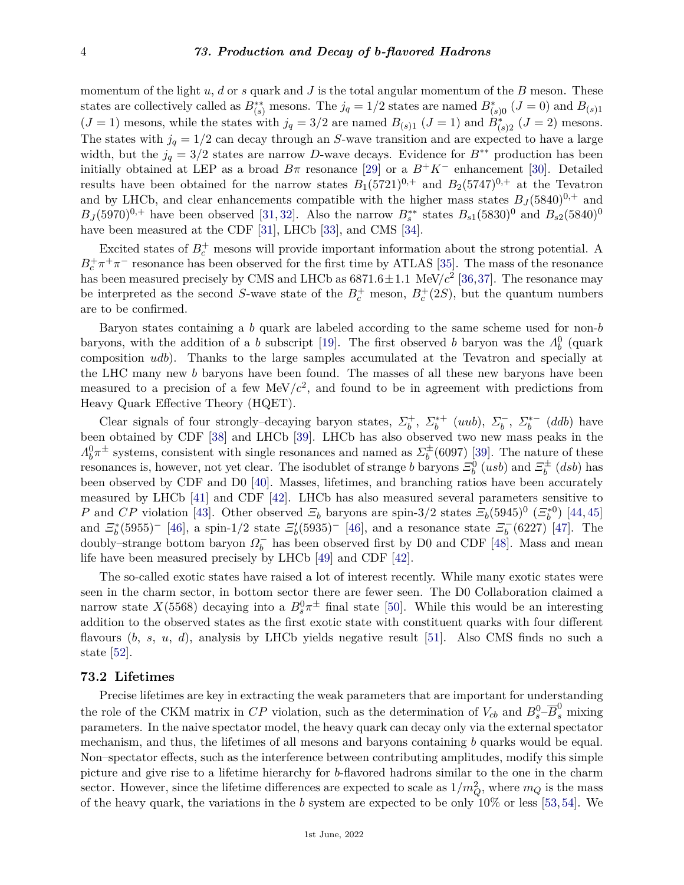momentum of the light *u*, *d* or *s* quark and *J* is the total angular momentum of the *B* meson. These states are collectively called as  $B_{(s)}^{**}$  mesons. The  $j_q = 1/2$  states are named  $B_{(s)0}^*$  ( $J = 0$ ) and  $B_{(s)1}$  $(J = 1)$  mesons, while the states with  $j_q = 3/2$  are named  $B_{(s)1}$   $(J = 1)$  and  $B_{(s)2}^*$   $(J = 2)$  mesons. The states with  $j_q = 1/2$  can decay through an *S*-wave transition and are expected to have a large width, but the  $j_q = 3/2$  states are narrow *D*-wave decays. Evidence for  $B^{**}$  production has been initially obtained at LEP as a broad  $B\pi$  resonance [\[29\]](#page-14-5) or a  $B^+K^-$  enhancement [\[30\]](#page-14-6). Detailed results have been obtained for the narrow states  $B_1(5721)^{0,+}$  and  $B_2(5747)^{0,+}$  at the Tevatron and by LHCb, and clear enhancements compatible with the higher mass states  $B_J(5840)^{0,+}$  and  $B_J(5970)^{0,+}$  have been observed [\[31,](#page-14-7) [32\]](#page-14-8). Also the narrow  $B_s^{**}$  states  $B_{s1}(5830)^0$  and  $B_{s2}(5840)^0$ have been measured at the CDF [\[31\]](#page-14-7), LHCb [\[33\]](#page-14-9), and CMS [\[34\]](#page-14-10).

Excited states of  $B_c^+$  mesons will provide important information about the strong potential. A  $B_c^+\pi^+\pi^-$  resonance has been observed for the first time by ATLAS [\[35\]](#page-14-11). The mass of the resonance has been measured precisely by CMS and LHCb as  $6871.6 \pm 1.1$  MeV/ $c^2$  [\[36,](#page-14-12)[37\]](#page-14-13). The resonance may be interpreted as the second *S*-wave state of the  $B_c^+$  meson,  $B_c^+(2S)$ , but the quantum numbers are to be confirmed.

Baryon states containing a *b* quark are labeled according to the same scheme used for non-*b* baryons, with the addition of a *b* subscript [\[19\]](#page-13-18). The first observed *b* baryon was the  $\Lambda_b^0$  (quark composition *udb*). Thanks to the large samples accumulated at the Tevatron and specially at the LHC many new *b* baryons have been found. The masses of all these new baryons have been measured to a precision of a few  $\text{MeV}/c^2$ , and found to be in agreement with predictions from Heavy Quark Effective Theory (HQET).

Clear signals of four strongly–decaying baryon states,  $\Sigma_b^+$ ,  $\Sigma_b^{*+}$  (*uub*),  $\Sigma_b^-$ <sup>*b*</sup></sub>,  $\Sigma_b^{*-}$  $b^*$ <sup>(*ddb*) have</sup> been obtained by CDF [\[38\]](#page-14-14) and LHCb [\[39\]](#page-14-15). LHCb has also observed two new mass peaks in the  $Λ_b^0$ π<sup> $\pm$ </sup> systems, consistent with single resonances and named as  $\Sigma_b^{\pm}$  $b<sub>b</sub><sup>+</sup>(6097)$  [\[39\]](#page-14-15). The nature of these resonances is, however, not yet clear. The isodublet of strange *b* baryons  $\Xi_b^0$  (*usb*) and  $\Xi_b^{\pm}$  $\int_b^{\pm}$   $(dsb)$  has been observed by CDF and D0 [\[40\]](#page-14-16). Masses, lifetimes, and branching ratios have been accurately measured by LHCb [\[41\]](#page-14-17) and CDF [\[42\]](#page-14-18). LHCb has also measured several parameters sensitive to *P* and *CP* violation [\[43\]](#page-14-19). Other observed  $\mathcal{Z}_b$  baryons are spin-3/2 states  $\mathcal{Z}_b(5945)^0$   $(\mathcal{Z}_b^{*0})$  [\[44,](#page-14-20) [45\]](#page-14-21) and  $\mathcal{Z}_{b}^{*}(5955)^{-}$  [\[46\]](#page-14-22), a spin-1/2 state  $\mathcal{Z}_{b}^{\prime}(5935)^{-}$  [46], and a resonance state  $\mathcal{Z}_{b}^{-}$  $b_0^-$ (6227) [\[47\]](#page-14-23). The doubly–strange bottom baryon *Ω* −  $\overline{b}$  has been observed first by D0 and CDF [\[48\]](#page-14-24). Mass and mean life have been measured precisely by LHCb [\[49\]](#page-14-25) and CDF [\[42\]](#page-14-18).

The so-called exotic states have raised a lot of interest recently. While many exotic states were seen in the charm sector, in bottom sector there are fewer seen. The D0 Collaboration claimed a narrow state  $X(5568)$  decaying into a  $B_s^0\pi^{\pm}$  final state [\[50\]](#page-15-0). While this would be an interesting addition to the observed states as the first exotic state with constituent quarks with four different flavours (*b*, *s*, *u*, *d*), analysis by LHCb yields negative result [\[51\]](#page-15-1). Also CMS finds no such a state [\[52\]](#page-15-2).

## **73.2 Lifetimes**

Precise lifetimes are key in extracting the weak parameters that are important for understanding the role of the CKM matrix in *CP* violation, such as the determination of  $V_{cb}$  and  $B_s^0$ - $\overline{B}_s^0$  mixing parameters. In the naive spectator model, the heavy quark can decay only via the external spectator mechanism, and thus, the lifetimes of all mesons and baryons containing *b* quarks would be equal. Non–spectator effects, such as the interference between contributing amplitudes, modify this simple picture and give rise to a lifetime hierarchy for *b*-flavored hadrons similar to the one in the charm sector. However, since the lifetime differences are expected to scale as  $1/m_Q^2$ , where  $m_Q$  is the mass of the heavy quark, the variations in the *b* system are expected to be only 10% or less [\[53,](#page-15-3)[54\]](#page-15-4). We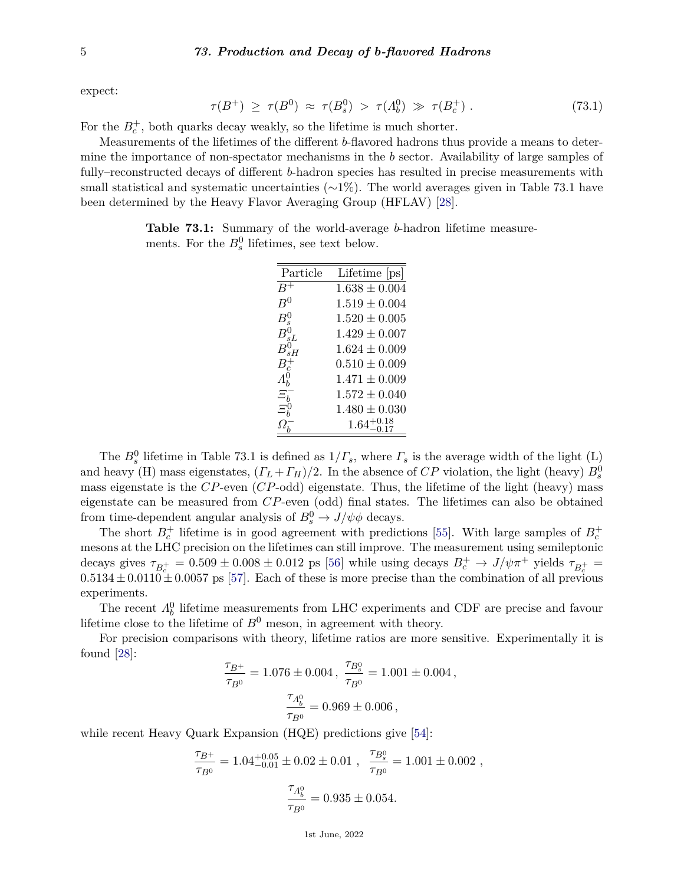expect:

$$
\tau(B^+) \ge \tau(B^0) \approx \tau(B_s^0) > \tau(A_b^0) \gg \tau(B_c^+) \ . \tag{73.1}
$$

For the  $B_c^+$ , both quarks decay weakly, so the lifetime is much shorter.

Measurements of the lifetimes of the different *b*-flavored hadrons thus provide a means to determine the importance of non-spectator mechanisms in the *b* sector. Availability of large samples of fully–reconstructed decays of different *b*-hadron species has resulted in precise measurements with small statistical and systematic uncertainties  $(\sim 1\%)$ . The world averages given in Table 73.1 have been determined by the Heavy Flavor Averaging Group (HFLAV) [\[28\]](#page-14-4).

**Table 73.1:** Summary of the world-average *b*-hadron lifetime measurements. For the  $B_s^0$  lifetimes, see text below.

| Particle             | Lifetime [ps]          |
|----------------------|------------------------|
| $\boldsymbol{B}$     | $1.638 \pm 0.004$      |
| $B^0$                | $1.519 \pm 0.004$      |
| $B^0_{\varepsilon}$  | $1.520 \pm 0.005$      |
| $B_{sL}^0$           | $1.429 \pm 0.007$      |
| $B_{sH}^0$           | $1.624 \pm 0.009$      |
| $B_c^+$              | $0.510 \pm 0.009$      |
| $\varLambda_{h}^{0}$ | $1.471 \pm 0.009$      |
| $\Xi_{b}^{-}$        | $1.572 \pm 0.040$      |
| $\Xi_{b}^{0}$        | $1.480 \pm 0.030$      |
|                      | $1.64^{+0.18}_{-0.17}$ |
|                      |                        |

The  $B_s^0$  lifetime in Table 73.1 is defined as  $1/\Gamma_s$ , where  $\Gamma_s$  is the average width of the light (L) and heavy (H) mass eigenstates,  $(\Gamma_L + \Gamma_H)/2$ . In the absence of  $CP$  violation, the light (heavy)  $B_s^0$ mass eigenstate is the *CP*-even (*CP*-odd) eigenstate. Thus, the lifetime of the light (heavy) mass eigenstate can be measured from *CP*-even (odd) final states. The lifetimes can also be obtained from time-dependent angular analysis of  $B_s^0 \to J/\psi \phi$  decays.

The short  $B_c^+$  lifetime is in good agreement with predictions [\[55\]](#page-15-5). With large samples of  $B_c^+$ mesons at the LHC precision on the lifetimes can still improve. The measurement using semileptonic decays gives  $\tau_{B_c^+} = 0.509 \pm 0.008 \pm 0.012$  ps [\[56\]](#page-15-6) while using decays  $B_c^+ \to J/\psi \pi^+$  yields  $\tau_{B_c^+} =$  $0.5134 \pm 0.0110 \pm 0.0057$  ps [\[57\]](#page-15-7). Each of these is more precise than the combination of all previous experiments.

The recent  $\Lambda_b^0$  lifetime measurements from LHC experiments and CDF are precise and favour lifetime close to the lifetime of  $B^0$  meson, in agreement with theory.

For precision comparisons with theory, lifetime ratios are more sensitive. Experimentally it is found [\[28\]](#page-14-4):

$$
\frac{\tau_{B^+}}{\tau_{B^0}} = 1.076 \pm 0.004 \,, \; \frac{\tau_{B^0_s}}{\tau_{B^0}} = 1.001 \pm 0.004 \,,
$$
 
$$
\frac{\tau_{A^0_b}}{\tau_{B^0}} = 0.969 \pm 0.006 \,,
$$

while recent Heavy Quark Expansion (HQE) predictions give [\[54\]](#page-15-4):

$$
\frac{\tau_{B^+}}{\tau_{B^0}} = 1.04^{+0.05}_{-0.01} \pm 0.02 \pm 0.01 \ , \ \frac{\tau_{B^0_s}}{\tau_{B^0}} = 1.001 \pm 0.002 \ ,
$$
 
$$
\frac{\tau_{A^0_b}}{\tau_{B^0}} = 0.935 \pm 0.054.
$$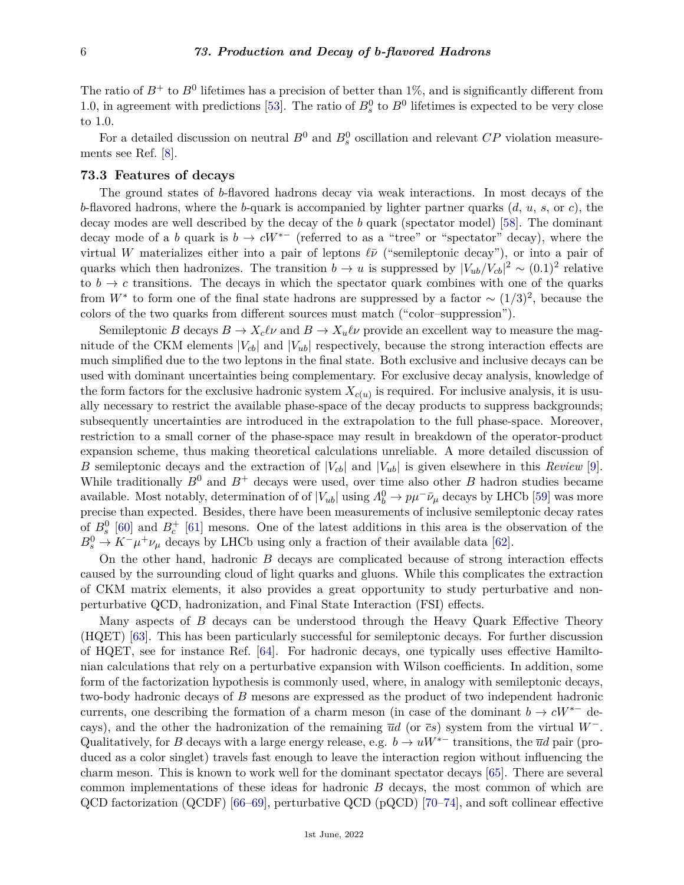The ratio of  $B^+$  to  $B^0$  lifetimes has a precision of better than 1%, and is significantly different from 1.0, in agreement with predictions [\[53\]](#page-15-3). The ratio of  $B_s^0$  to  $B^0$  lifetimes is expected to be very close to 1.0.

For a detailed discussion on neutral  $B^0$  and  $B^0_s$  oscillation and relevant  $CP$  violation measurements see Ref. [\[8\]](#page-13-7).

### **73.3 Features of decays**

The ground states of *b*-flavored hadrons decay via weak interactions. In most decays of the *b*-flavored hadrons, where the *b*-quark is accompanied by lighter partner quarks (*d*, *u*, *s*, or *c*), the decay modes are well described by the decay of the *b* quark (spectator model) [\[58\]](#page-15-8). The dominant decay mode of a *b* quark is  $b \to cW^{*-}$  (referred to as a "tree" or "spectator" decay), where the virtual *W* materializes either into a pair of leptons  $\ell \bar{\nu}$  ("semileptonic decay"), or into a pair of quarks which then hadronizes. The transition  $b \to u$  is suppressed by  $|V_{ub}/V_{cb}|^2 \sim (0.1)^2$  relative to  $b \to c$  transitions. The decays in which the spectator quark combines with one of the quarks from  $W^*$  to form one of the final state hadrons are suppressed by a factor  $\sim (1/3)^2$ , because the colors of the two quarks from different sources must match ("color–suppression").

Semileptonic *B* decays  $B \to X_c \ell \nu$  and  $B \to X_u \ell \nu$  provide an excellent way to measure the magnitude of the CKM elements  $|V_{cb}|$  and  $|V_{ub}|$  respectively, because the strong interaction effects are much simplified due to the two leptons in the final state. Both exclusive and inclusive decays can be used with dominant uncertainties being complementary. For exclusive decay analysis, knowledge of the form factors for the exclusive hadronic system  $X_{c(u)}$  is required. For inclusive analysis, it is usually necessary to restrict the available phase-space of the decay products to suppress backgrounds; subsequently uncertainties are introduced in the extrapolation to the full phase-space. Moreover, restriction to a small corner of the phase-space may result in breakdown of the operator-product expansion scheme, thus making theoretical calculations unreliable. A more detailed discussion of *B* semileptonic decays and the extraction of  $|V_{cb}|$  and  $|V_{ub}|$  is given elsewhere in this *Review* [\[9\]](#page-13-8). While traditionally  $B^0$  and  $B^+$  decays were used, over time also other  $B$  hadron studies became available. Most notably, determination of of  $|V_{ub}|$  using  $\Lambda_b^0 \to p\mu^- \bar{\nu}_\mu$  decays by LHCb [\[59\]](#page-15-9) was more precise than expected. Besides, there have been measurements of inclusive semileptonic decay rates of  $B_s^0$  [\[60\]](#page-15-10) and  $B_c^+$  [\[61\]](#page-15-11) mesons. One of the latest additions in this area is the observation of the  $B_s^0 \to K^- \mu^+ \nu_\mu$  decays by LHCb using only a fraction of their available data [\[62\]](#page-15-12).

On the other hand, hadronic *B* decays are complicated because of strong interaction effects caused by the surrounding cloud of light quarks and gluons. While this complicates the extraction of CKM matrix elements, it also provides a great opportunity to study perturbative and nonperturbative QCD, hadronization, and Final State Interaction (FSI) effects.

Many aspects of *B* decays can be understood through the Heavy Quark Effective Theory (HQET) [\[63\]](#page-15-13). This has been particularly successful for semileptonic decays. For further discussion of HQET, see for instance Ref. [\[64\]](#page-15-14). For hadronic decays, one typically uses effective Hamiltonian calculations that rely on a perturbative expansion with Wilson coefficients. In addition, some form of the factorization hypothesis is commonly used, where, in analogy with semileptonic decays, two-body hadronic decays of *B* mesons are expressed as the product of two independent hadronic currents, one describing the formation of a charm meson (in case of the dominant  $b \to cW^{*-}$  decays), and the other the hadronization of the remaining  $\overline{u}d$  (or  $\overline{c}s$ ) system from the virtual  $W^-$ . Qualitatively, for *B* decays with a large energy release, e.g.  $b \to uW^{*-}$  transitions, the  $\overline{u}d$  pair (produced as a color singlet) travels fast enough to leave the interaction region without influencing the charm meson. This is known to work well for the dominant spectator decays [\[65\]](#page-15-15). There are several common implementations of these ideas for hadronic *B* decays, the most common of which are QCD factorization (QCDF) [\[66–](#page-15-16)[69\]](#page-15-17), perturbative QCD (pQCD) [\[70–](#page-15-18)[74\]](#page-15-19), and soft collinear effective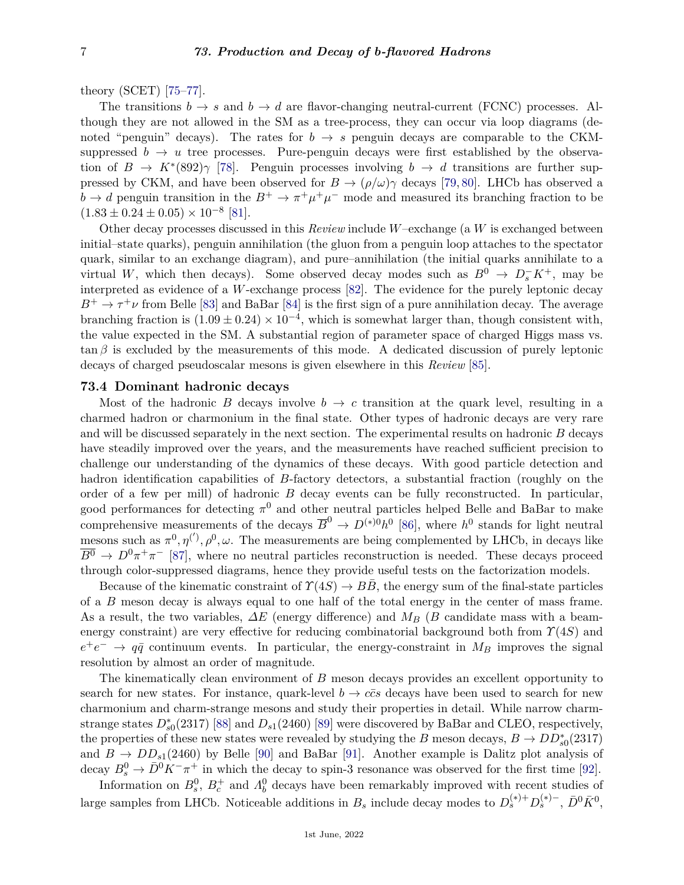theory (SCET) [\[75–](#page-15-20)[77\]](#page-16-0).

The transitions  $b \to s$  and  $b \to d$  are flavor-changing neutral-current (FCNC) processes. Although they are not allowed in the SM as a tree-process, they can occur via loop diagrams (denoted "penguin" decays). The rates for  $b \to s$  penguin decays are comparable to the CKMsuppressed  $b \to u$  tree processes. Pure-penguin decays were first established by the observation of  $B \to K^*(892)\gamma$  [\[78\]](#page-16-1). Penguin processes involving  $b \to d$  transitions are further suppressed by CKM, and have been observed for  $B \to (\rho/\omega)\gamma$  decays [\[79,](#page-16-2) [80\]](#page-16-3). LHCb has observed a  $b \to d$  penguin transition in the  $B^+ \to \pi^+ \mu^+ \mu^-$  mode and measured its branching fraction to be  $(1.83 \pm 0.24 \pm 0.05) \times 10^{-8}$  [\[81\]](#page-16-4).

Other decay processes discussed in this *Review* include *W*–exchange (a *W* is exchanged between initial–state quarks), penguin annihilation (the gluon from a penguin loop attaches to the spectator quark, similar to an exchange diagram), and pure–annihilation (the initial quarks annihilate to a virtual *W*, which then decays). Some observed decay modes such as  $B^0 \to D_s^- K^+$ , may be interpreted as evidence of a *W*-exchange process [\[82\]](#page-16-5). The evidence for the purely leptonic decay  $B^+ \to \tau^+\nu$  from Belle [\[83\]](#page-16-6) and BaBar [\[84\]](#page-16-7) is the first sign of a pure annihilation decay. The average branching fraction is  $(1.09 \pm 0.24) \times 10^{-4}$ , which is somewhat larger than, though consistent with, the value expected in the SM. A substantial region of parameter space of charged Higgs mass vs.  $\tan \beta$  is excluded by the measurements of this mode. A dedicated discussion of purely leptonic decays of charged pseudoscalar mesons is given elsewhere in this *Review* [\[85\]](#page-16-8).

# **73.4 Dominant hadronic decays**

Most of the hadronic *B* decays involve  $b \to c$  transition at the quark level, resulting in a charmed hadron or charmonium in the final state. Other types of hadronic decays are very rare and will be discussed separately in the next section. The experimental results on hadronic *B* decays have steadily improved over the years, and the measurements have reached sufficient precision to challenge our understanding of the dynamics of these decays. With good particle detection and hadron identification capabilities of *B*-factory detectors, a substantial fraction (roughly on the order of a few per mill) of hadronic *B* decay events can be fully reconstructed. In particular, good performances for detecting  $\pi^0$  and other neutral particles helped Belle and BaBar to make comprehensive measurements of the decays  $\overline{B}^0 \to D^{(*)0}h^0$  [\[86\]](#page-16-9), where  $h^0$  stands for light neutral mesons such as  $\pi^0, \eta^{(')}, \rho^0, \omega$ . The measurements are being complemented by LHCb, in decays like  $\overline{B^0}$   $\rightarrow$   $D^0\pi^+\pi^-$  [\[87\]](#page-16-10), where no neutral particles reconstruction is needed. These decays proceed through color-suppressed diagrams, hence they provide useful tests on the factorization models.

Because of the kinematic constraint of  $\Upsilon(4S) \rightarrow BB$ , the energy sum of the final-state particles of a *B* meson decay is always equal to one half of the total energy in the center of mass frame. As a result, the two variables, *∆E* (energy difference) and *M<sup>B</sup>* (*B* candidate mass with a beamenergy constraint) are very effective for reducing combinatorial background both from *Υ*(4*S*) and  $e^+e^- \rightarrow q\bar{q}$  continuum events. In particular, the energy-constraint in  $M_B$  improves the signal resolution by almost an order of magnitude.

The kinematically clean environment of *B* meson decays provides an excellent opportunity to search for new states. For instance, quark-level  $b \rightarrow c\bar{c}s$  decays have been used to search for new charmonium and charm-strange mesons and study their properties in detail. While narrow charmstrange states  $D_{s0}^*(2317)$  [\[88\]](#page-16-11) and  $D_{s1}(2460)$  [\[89\]](#page-16-12) were discovered by BaBar and CLEO, respectively, the properties of these new states were revealed by studying the *B* meson decays,  $B \to DD_{s0}^{*}(2317)$ and  $B \to DD_{s1}(2460)$  by Belle [\[90\]](#page-16-13) and BaBar [\[91\]](#page-16-14). Another example is Dalitz plot analysis of decay  $B_s^0 \to \bar{D}^0 K^- \pi^+$  in which the decay to spin-3 resonance was observed for the first time [\[92\]](#page-16-15).

Information on  $B_s^0$ ,  $B_c^+$  and  $\Lambda_b^0$  decays have been remarkably improved with recent studies of large samples from LHCb. Noticeable additions in  $B_s$  include decay modes to  $D_s^{(*)+}D_s^{(*)-}$ ,  $\bar{D}^0\bar{K}^0$ ,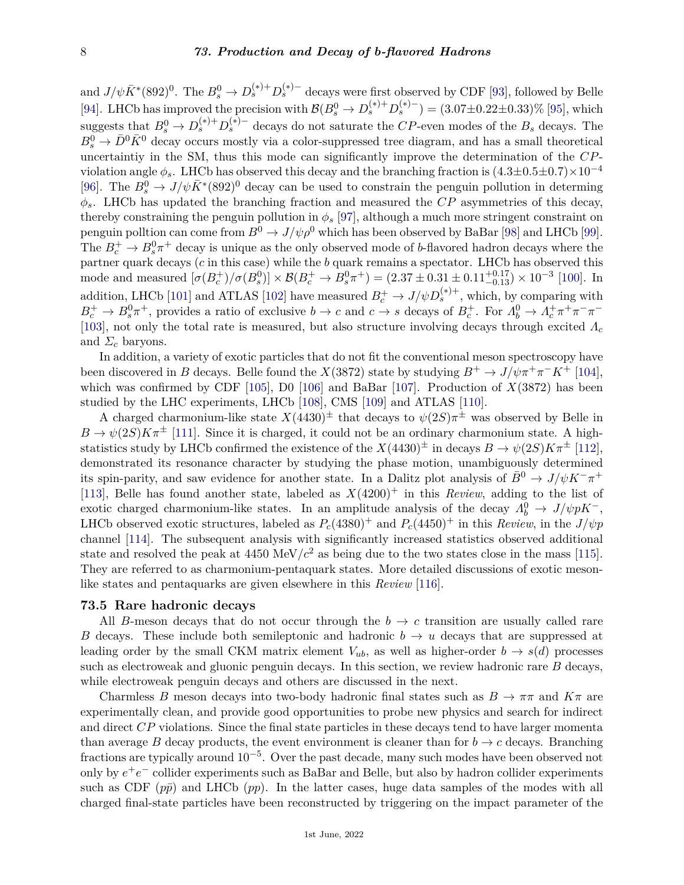and  $J/\psi \bar{K}^*(892)^0$ . The  $B_s^0 \to D_s^{(*)+} D_s^{(*)-}$  decays were first observed by CDF [\[93\]](#page-16-16), followed by Belle [\[94\]](#page-16-17). LHCb has improved the precision with  $\mathcal{B}(B_s^0 \to D_s^{(*)+} D_s^{(*)-}) = (3.07 \pm 0.22 \pm 0.33)\%$  [\[95\]](#page-16-18), which suggests that  $B_s^0 \to D_s^{(*)+}D_s^{(*)-}$  decays do not saturate the *CP*-even modes of the  $B_s$  decays. The  $B_s^0 \to \bar{D}^0 \bar{K}^0$  decay occurs mostly via a color-suppressed tree diagram, and has a small theoretical uncertaintiy in the SM, thus this mode can significantly improve the determination of the *CP*violation angle  $\phi_s$ . LHCb has observed this decay and the branching fraction is  $(4.3\pm0.5\pm0.7)\times10^{-4}$ [\[96\]](#page-16-19). The  $B_s^0 \to J/\psi \bar{K}^*(892)^0$  decay can be used to constrain the penguin pollution in determing  $\phi_s$ . LHCb has updated the branching fraction and measured the *CP* asymmetries of this decay, thereby constraining the penguin pollution in  $\phi_s$  [\[97\]](#page-16-20), although a much more stringent constraint on penguin polltion can come from  $B^0 \to J/\psi \rho^0$  which has been observed by BaBar [\[98\]](#page-16-21) and LHCb [\[99\]](#page-16-22). The  $B_c^+ \to B_s^0 \pi^+$  decay is unique as the only observed mode of *b*-flavored hadron decays where the partner quark decays (*c* in this case) while the *b* quark remains a spectator. LHCb has observed this mode and measured  $[\sigma(B_c^+)/\sigma(B_s^0)] \times \mathcal{B}(B_c^+ \to B_s^0 \pi^+) = (2.37 \pm 0.31 \pm 0.11_{-0.13}^{+0.17}) \times 10^{-3}$  [\[100\]](#page-16-23). In addition, LHCb [\[101\]](#page-16-24) and ATLAS [\[102\]](#page-16-25) have measured  $B_c^+ \to J/\psi D_s^{(*)+}$ , which, by comparing with  $B_c^+\to B_s^0\pi^+$ , provides a ratio of exclusive  $b\to c$  and  $c\to s$  decays of  $B_c^+$ . For  $\Lambda_b^0\to \Lambda_c^+\pi^+\pi^-\pi^-$ [\[103\]](#page-16-26), not only the total rate is measured, but also structure involving decays through excited *Λ<sup>c</sup>* and *Σ<sup>c</sup>* baryons.

In addition, a variety of exotic particles that do not fit the conventional meson spectroscopy have been discovered in *B* decays. Belle found the *X*(3872) state by studying  $B^+ \to J/\psi \pi^+ \pi^- K^+$  [\[104\]](#page-16-27), which was confirmed by CDF [\[105\]](#page-17-0), D0 [\[106\]](#page-17-1) and BaBar [\[107\]](#page-17-2). Production of *X*(3872) has been studied by the LHC experiments, LHCb [\[108\]](#page-17-3), CMS [\[109\]](#page-17-4) and ATLAS [\[110\]](#page-17-5).

A charged charmonium-like state  $X(4430)^{\pm}$  that decays to  $\psi(2S)\pi^{\pm}$  was observed by Belle in  $B \to \psi(2S)K\pi^{\pm}$  [\[111\]](#page-17-6). Since it is charged, it could not be an ordinary charmonium state. A highstatistics study by LHCb confirmed the existence of the  $X(4430)^{\pm}$  in decays  $B \to \psi(2S)K\pi^{\pm}$  [\[112\]](#page-17-7), demonstrated its resonance character by studying the phase motion, unambiguously determined its spin-parity, and saw evidence for another state. In a Dalitz plot analysis of  $\bar{B}^0 \to J/\psi K^-\pi^+$ [\[113\]](#page-17-8), Belle has found another state, labeled as *X*(4200)<sup>+</sup> in this *Review*, adding to the list of exotic charged charmonium-like states. In an amplitude analysis of the decay  $\Lambda_b^0 \to J/\psi p K^-$ , LHCb observed exotic structures, labeled as  $P_c(4380)^+$  and  $P_c(4450)^+$  in this *Review*, in the  $J/\psi p$ channel [\[114\]](#page-17-9). The subsequent analysis with significantly increased statistics observed additional state and resolved the peak at  $4450 \text{ MeV}/c^2$  as being due to the two states close in the mass [\[115\]](#page-17-10). They are referred to as charmonium-pentaquark states. More detailed discussions of exotic mesonlike states and pentaquarks are given elsewhere in this *Review* [\[116\]](#page-17-11).

# **73.5 Rare hadronic decays**

All *B*-meson decays that do not occur through the  $b \rightarrow c$  transition are usually called rare *B* decays. These include both semileptonic and hadronic  $b \rightarrow u$  decays that are suppressed at leading order by the small CKM matrix element  $V_{ub}$ , as well as higher-order  $b \rightarrow s(d)$  processes such as electroweak and gluonic penguin decays. In this section, we review hadronic rare *B* decays, while electroweak penguin decays and others are discussed in the next.

Charmless *B* meson decays into two-body hadronic final states such as  $B \to \pi\pi$  and  $K\pi$  are experimentally clean, and provide good opportunities to probe new physics and search for indirect and direct *CP* violations. Since the final state particles in these decays tend to have larger momenta than average *B* decay products, the event environment is cleaner than for  $b \rightarrow c$  decays. Branching fractions are typically around 10<sup>-5</sup>. Over the past decade, many such modes have been observed not only by  $e^+e^-$  collider experiments such as BaBar and Belle, but also by hadron collider experiments such as CDF  $(p\bar{p})$  and LHCb  $(pp)$ . In the latter cases, huge data samples of the modes with all charged final-state particles have been reconstructed by triggering on the impact parameter of the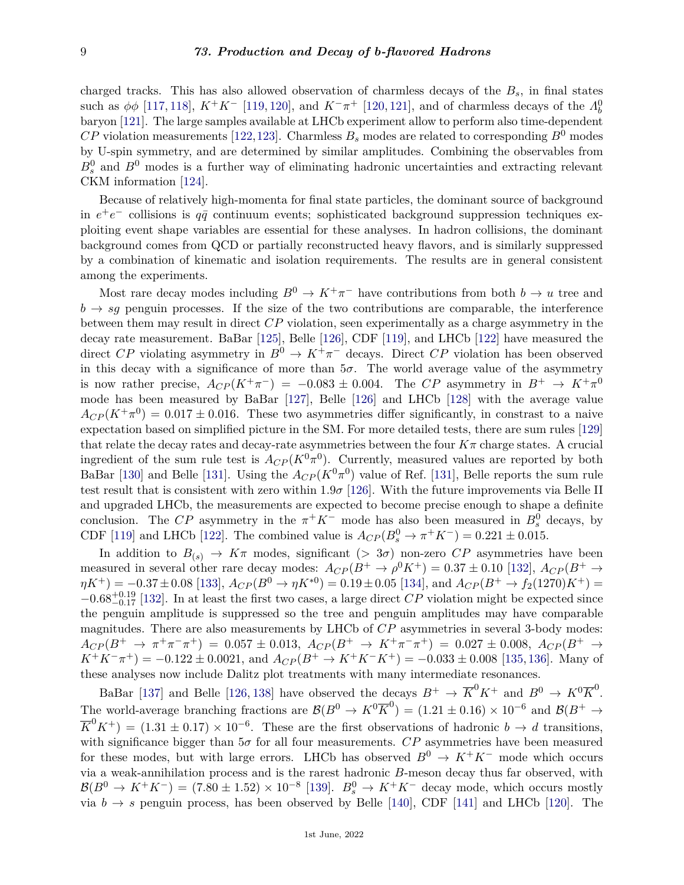charged tracks. This has also allowed observation of charmless decays of the *Bs*, in final states such as  $\phi\phi$  [\[117,](#page-17-12) [118\]](#page-17-13),  $K^+K^-$  [\[119,](#page-17-14) [120\]](#page-17-15), and  $K^-\pi^+$  [\[120,](#page-17-15) [121\]](#page-17-16), and of charmless decays of the  $\Lambda_b^0$ baryon [\[121\]](#page-17-16). The large samples available at LHCb experiment allow to perform also time-dependent  $CP$  violation measurements [\[122,](#page-17-17)[123\]](#page-17-18). Charmless  $B_s$  modes are related to corresponding  $B^0$  modes by U-spin symmetry, and are determined by similar amplitudes. Combining the observables from  $B_s^0$  and  $B^0$  modes is a further way of eliminating hadronic uncertainties and extracting relevant CKM information [\[124\]](#page-17-19).

Because of relatively high-momenta for final state particles, the dominant source of background in  $e^+e^-$  collisions is  $q\bar{q}$  continuum events; sophisticated background suppression techniques exploiting event shape variables are essential for these analyses. In hadron collisions, the dominant background comes from QCD or partially reconstructed heavy flavors, and is similarly suppressed by a combination of kinematic and isolation requirements. The results are in general consistent among the experiments.

Most rare decay modes including  $B^0 \to K^+\pi^-$  have contributions from both  $b \to u$  tree and  $b \rightarrow s\bar{g}$  penguin processes. If the size of the two contributions are comparable, the interference between them may result in direct *CP* violation, seen experimentally as a charge asymmetry in the decay rate measurement. BaBar [\[125\]](#page-17-20), Belle [\[126\]](#page-17-21), CDF [\[119\]](#page-17-14), and LHCb [\[122\]](#page-17-17) have measured the direct *CP* violating asymmetry in  $B^0 \to K^+\pi^-$  decays. Direct *CP* violation has been observed in this decay with a significance of more than  $5\sigma$ . The world average value of the asymmetry is now rather precise,  $A_{CP}(K^+\pi^-) = -0.083 \pm 0.004$ . The *CP* asymmetry in  $B^+ \to K^+\pi^0$ mode has been measured by BaBar [\[127\]](#page-17-22), Belle [\[126\]](#page-17-21) and LHCb [\[128\]](#page-17-23) with the average value  $A_{CP}(K^+\pi^0) = 0.017 \pm 0.016$ . These two asymmetries differ significantly, in constrast to a naive expectation based on simplified picture in the SM. For more detailed tests, there are sum rules [\[129\]](#page-17-24) that relate the decay rates and decay-rate asymmetries between the four *Kπ* charge states. A crucial ingredient of the sum rule test is  $A_{CP}(K^0\pi^0)$ . Currently, measured values are reported by both BaBar [\[130\]](#page-17-25) and Belle [\[131\]](#page-17-26). Using the  $A_{CP}(K^0\pi^0)$  value of Ref. [131], Belle reports the sum rule test result that is consistent with zero within  $1.9\sigma$  [\[126\]](#page-17-21). With the future improvements via Belle II and upgraded LHCb, the measurements are expected to become precise enough to shape a definite conclusion. The *CP* asymmetry in the  $\pi$ <sup>+</sup>K<sup>-</sup> mode has also been measured in  $B_s^0$  decays, by CDF [\[119\]](#page-17-14) and LHCb [\[122\]](#page-17-17). The combined value is  $A_{CP}(B_s^0 \to \pi^+ K^-) = 0.221 \pm 0.015$ .

In addition to  $B_{(s)} \to K\pi$  modes, significant (> 3*σ*) non-zero *CP* asymmetries have been measured in several other rare decay modes:  $A_{CP}(B^+ \to \rho^0 K^+) = 0.37 \pm 0.10$  [\[132\]](#page-17-27),  $A_{CP}(B^+ \to \rho^0 K^-)$  $\eta K^{+}$ ) = -0.37 ± 0.08 [\[133\]](#page-17-28),  $A_{CP}(B^{0} \rightarrow \eta K^{*0}) = 0.19 \pm 0.05$  [\[134\]](#page-17-29), and  $A_{CP}(B^{+} \rightarrow f_{2}(1270)K^{+}) =$  $-0.68^{+0.19}_{-0.17}$  [\[132\]](#page-17-27). In at least the first two cases, a large direct *CP* violation might be expected since the penguin amplitude is suppressed so the tree and penguin amplitudes may have comparable magnitudes. There are also measurements by LHCb of *CP* asymmetries in several 3-body modes:  $A_{CP}(B^+ \rightarrow \pi^+\pi^-\pi^+) = 0.057 \pm 0.013$ ,  $A_{CP}(B^+ \rightarrow K^+\pi^-\pi^+) = 0.027 \pm 0.008$ ,  $A_{CP}(B^+ \rightarrow$  $K^+K^-\pi^+$ ) = −0.122 ± 0.0021, and  $A_{CP}(B^+ \to K^+K^-K^+)$  = −0.033 ± 0.008 [\[135,](#page-17-30) [136\]](#page-17-31). Many of these analyses now include Dalitz plot treatments with many intermediate resonances.

BaBar [\[137\]](#page-17-32) and Belle [\[126,](#page-17-21) [138\]](#page-18-0) have observed the decays  $B^+ \to \overline{K}^0 K^+$  and  $B^0 \to K^0 \overline{K}^0$ . The world-average branching fractions are  $\mathcal{B}(B^0 \to K^0 \overline{K}^0) = (1.21 \pm 0.16) \times 10^{-6}$  and  $\mathcal{B}(B^+ \to K^0 \overline{K}^0)$  $\overline{K}^0 K^+$ ) = (1.31 ± 0.17) × 10<sup>-6</sup>. These are the first observations of hadronic *b*  $\rightarrow d$  transitions, with significance bigger than  $5\sigma$  for all four measurements. *CP* asymmetries have been measured for these modes, but with large errors. LHCb has observed  $B^0 \to K^+K^-$  mode which occurs via a weak-annihilation process and is the rarest hadronic *B*-meson decay thus far observed, with  $\mathcal{B}(B^0 \to K^+K^-) = (7.80 \pm 1.52) \times 10^{-8}$  [\[139\]](#page-18-1).  $B^0_s \to K^+K^-$  decay mode, which occurs mostly via  $b \to s$  penguin process, has been observed by Belle [\[140\]](#page-18-2), CDF [\[141\]](#page-18-3) and LHCb [\[120\]](#page-17-15). The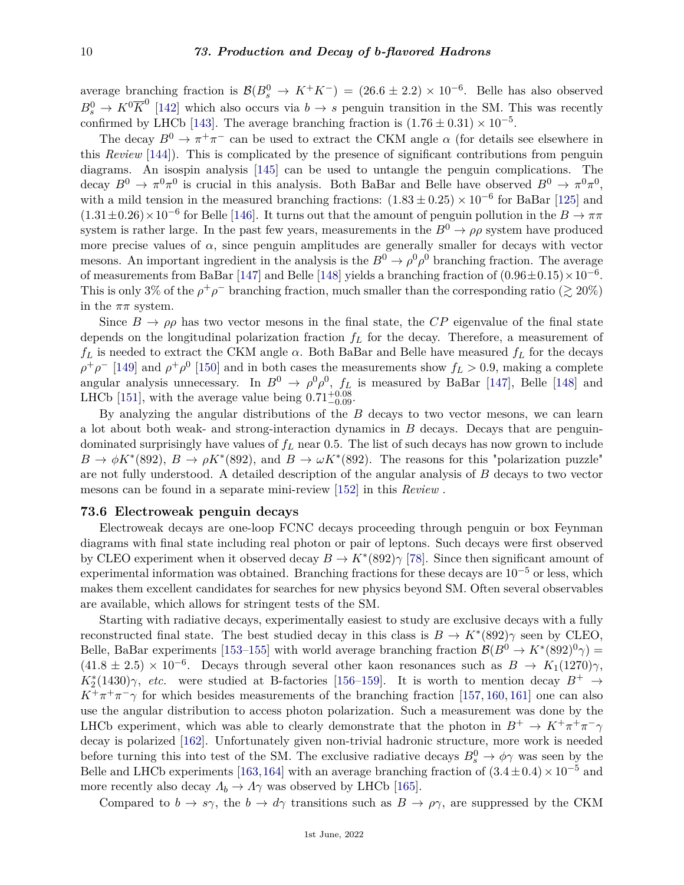average branching fraction is  $\mathcal{B}(B_s^0 \to K^+K^-) = (26.6 \pm 2.2) \times 10^{-6}$ . Belle has also observed  $B_s^0 \to K^0 \overline{K}^0$  [\[142\]](#page-18-4) which also occurs via  $b \to s$  penguin transition in the SM. This was recently confirmed by LHCb [\[143\]](#page-18-5). The average branching fraction is  $(1.76 \pm 0.31) \times 10^{-5}$ .

The decay  $B^0 \to \pi^+\pi^-$  can be used to extract the CKM angle  $\alpha$  (for details see elsewhere in this *Review* [\[144\]](#page-18-6)). This is complicated by the presence of significant contributions from penguin diagrams. An isospin analysis [\[145\]](#page-18-7) can be used to untangle the penguin complications. The decay  $B^0 \to \pi^0 \pi^0$  is crucial in this analysis. Both BaBar and Belle have observed  $B^0 \to \pi^0 \pi^0$ , with a mild tension in the measured branching fractions:  $(1.83 \pm 0.25) \times 10^{-6}$  for BaBar [\[125\]](#page-17-20) and  $(1.31\pm0.26)\times10^{-6}$  for Belle [\[146\]](#page-18-8). It turns out that the amount of penguin pollution in the  $B\to\pi\pi$ system is rather large. In the past few years, measurements in the  $B^0 \to \rho \rho$  system have produced more precise values of  $\alpha$ , since penguin amplitudes are generally smaller for decays with vector mesons. An important ingredient in the analysis is the  $B^0 \to \rho^0 \rho^0$  branching fraction. The average of measurements from BaBar [\[147\]](#page-18-9) and Belle [\[148\]](#page-18-10) yields a branching fraction of  $(0.96 \pm 0.15) \times 10^{-6}$ . This is only 3% of the  $\rho^+\rho^-$  branching fraction, much smaller than the corresponding ratio ( $\gtrsim 20\%$ ) in the  $\pi\pi$  system.

Since  $B \to \rho \rho$  has two vector mesons in the final state, the *CP* eigenvalue of the final state depends on the longitudinal polarization fraction *f<sup>L</sup>* for the decay. Therefore, a measurement of  $f_L$  is needed to extract the CKM angle  $\alpha$ . Both BaBar and Belle have measured  $f_L$  for the decays  $\rho^+ \rho^-$  [\[149\]](#page-18-11) and  $\rho^+ \rho^0$  [\[150\]](#page-18-12) and in both cases the measurements show  $f_L > 0.9$ , making a complete angular analysis unnecessary. In  $B^0 \to \rho^0 \rho^0$ ,  $f_L$  is measured by BaBar [\[147\]](#page-18-9), Belle [\[148\]](#page-18-10) and LHCb [\[151\]](#page-18-13), with the average value being  $0.71^{+0.08}_{-0.09}$ .

By analyzing the angular distributions of the *B* decays to two vector mesons, we can learn a lot about both weak- and strong-interaction dynamics in *B* decays. Decays that are penguindominated surprisingly have values of *f<sup>L</sup>* near 0.5. The list of such decays has now grown to include  $B \to \phi K^*(892)$ ,  $B \to \rho K^*(892)$ , and  $B \to \omega K^*(892)$ . The reasons for this "polarization puzzle" are not fully understood. A detailed description of the angular analysis of *B* decays to two vector mesons can be found in a separate mini-review [\[152\]](#page-18-14) in this *Review* .

### **73.6 Electroweak penguin decays**

Electroweak decays are one-loop FCNC decays proceeding through penguin or box Feynman diagrams with final state including real photon or pair of leptons. Such decays were first observed by CLEO experiment when it observed decay  $B \to K^*(892)\gamma$  [\[78\]](#page-16-1). Since then significant amount of experimental information was obtained. Branching fractions for these decays are 10−<sup>5</sup> or less, which makes them excellent candidates for searches for new physics beyond SM. Often several observables are available, which allows for stringent tests of the SM.

Starting with radiative decays, experimentally easiest to study are exclusive decays with a fully reconstructed final state. The best studied decay in this class is  $B \to K^*(892)\gamma$  seen by CLEO, Belle, BaBar experiments [\[153–](#page-18-15)[155\]](#page-18-16) with world average branching fraction  $\mathcal{B}(B^0 \to K^*(892)^0 \gamma) =$  $(41.8 \pm 2.5) \times 10^{-6}$ . Decays through several other kaon resonances such as  $B \to K_1(1270)\gamma$ , *K*<sup>\*</sup><sub>2</sub>(1430)γ, *etc.* were studied at B-factories [\[156](#page-18-17)[–159\]](#page-18-18). It is worth to mention decay  $B^+$  →  $K^+\pi^+\pi^-\gamma$  for which besides measurements of the branching fraction [\[157,](#page-18-19) [160,](#page-18-20) [161\]](#page-18-21) one can also use the angular distribution to access photon polarization. Such a measurement was done by the LHCb experiment, which was able to clearly demonstrate that the photon in  $B^+ \to K^+\pi^+\pi^-\gamma$ decay is polarized [\[162\]](#page-18-22). Unfortunately given non-trivial hadronic structure, more work is needed before turning this into test of the SM. The exclusive radiative decays  $B_s^0 \to \phi \gamma$  was seen by the Belle and LHCb experiments [\[163,](#page-18-23)[164\]](#page-18-24) with an average branching fraction of  $(3.4 \pm 0.4) \times 10^{-5}$  and more recently also decay  $\Lambda_b \to \Lambda \gamma$  was observed by LHCb [\[165\]](#page-18-25).

Compared to  $b \to s\gamma$ , the  $b \to d\gamma$  transitions such as  $B \to \rho\gamma$ , are suppressed by the CKM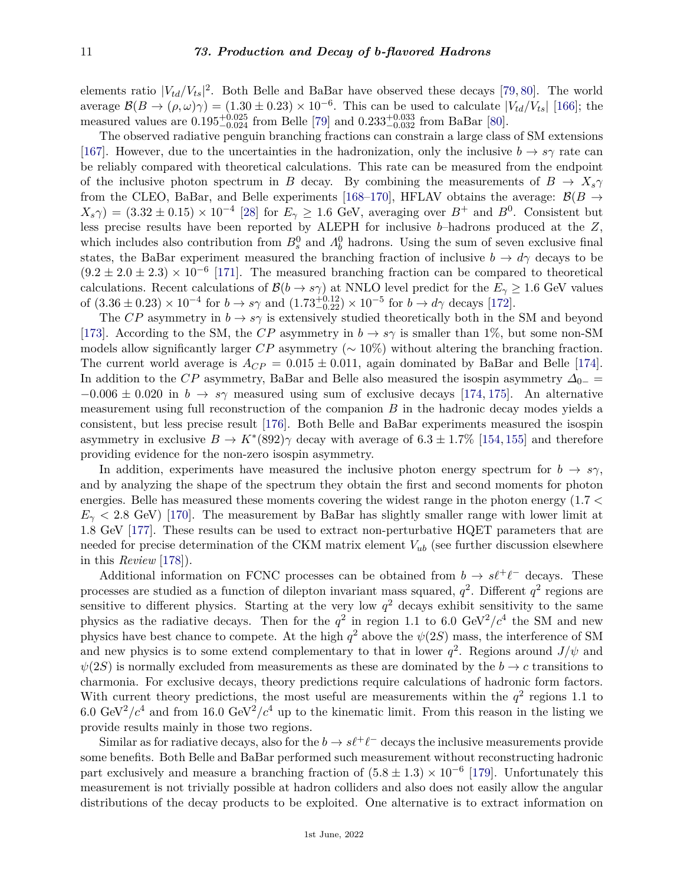elements ratio  $|V_{td}/V_{ts}|^2$ . Both Belle and BaBar have observed these decays [\[79,](#page-16-2) [80\]](#page-16-3). The world average  $\mathcal{B}(B \to (\rho, \omega)\gamma) = (1.30 \pm 0.23) \times 10^{-6}$ . This can be used to calculate  $|V_{td}/V_{ts}|$  [\[166\]](#page-18-26); the measured values are  $0.195_{-0.024}^{+0.025}$  from Belle [\[79\]](#page-16-2) and  $0.233_{-0.032}^{+0.033}$  from BaBar [\[80\]](#page-16-3).

The observed radiative penguin branching fractions can constrain a large class of SM extensions [\[167\]](#page-18-27). However, due to the uncertainties in the hadronization, only the inclusive  $b \to s\gamma$  rate can be reliably compared with theoretical calculations. This rate can be measured from the endpoint of the inclusive photon spectrum in *B* decay. By combining the measurements of  $B \to X_s \gamma$ from the CLEO, BaBar, and Belle experiments [\[168](#page-18-28)[–170\]](#page-19-0), HFLAV obtains the average:  $\mathcal{B}(B \to$  $(X_s \gamma) = (3.32 \pm 0.15) \times 10^{-4}$  [\[28\]](#page-14-4) for  $E_\gamma \ge 1.6$  GeV, averaging over  $B^+$  and  $B^0$ . Consistent but less precise results have been reported by ALEPH for inclusive *b*–hadrons produced at the *Z*, which includes also contribution from  $B_s^0$  and  $\Lambda_b^0$  hadrons. Using the sum of seven exclusive final states, the BaBar experiment measured the branching fraction of inclusive  $b \to d\gamma$  decays to be  $(9.2 \pm 2.0 \pm 2.3) \times 10^{-6}$  [\[171\]](#page-19-1). The measured branching fraction can be compared to theoretical calculations. Recent calculations of  $\mathcal{B}(b \to s\gamma)$  at NNLO level predict for the  $E_\gamma \geq 1.6$  GeV values of  $(3.36 \pm 0.23) \times 10^{-4}$  for  $b \to s\gamma$  and  $(1.73_{-0.22}^{+0.12}) \times 10^{-5}$  for  $b \to d\gamma$  decays [\[172\]](#page-19-2).

The *CP* asymmetry in  $b \to s\gamma$  is extensively studied theoretically both in the SM and beyond [\[173\]](#page-19-3). According to the SM, the *CP* asymmetry in  $b \to s\gamma$  is smaller than 1%, but some non-SM models allow significantly larger *CP* asymmetry (∼ 10%) without altering the branching fraction. The current world average is  $A_{CP} = 0.015 \pm 0.011$ , again dominated by BaBar and Belle [\[174\]](#page-19-4). In addition to the *CP* asymmetry, BaBar and Belle also measured the isospin asymmetry  $\Delta_{0-}$  =  $-0.006 \pm 0.020$  in  $b \rightarrow s\gamma$  measured using sum of exclusive decays [\[174,](#page-19-4) [175\]](#page-19-5). An alternative measurement using full reconstruction of the companion *B* in the hadronic decay modes yields a consistent, but less precise result [\[176\]](#page-19-6). Both Belle and BaBar experiments measured the isospin asymmetry in exclusive  $B \to K^*(892)$  decay with average of  $6.3 \pm 1.7\%$  [\[154,](#page-18-29) [155\]](#page-18-16) and therefore providing evidence for the non-zero isospin asymmetry.

In addition, experiments have measured the inclusive photon energy spectrum for  $b \rightarrow s\gamma$ , and by analyzing the shape of the spectrum they obtain the first and second moments for photon energies. Belle has measured these moments covering the widest range in the photon energy (1*.*7 *<*  $E<sub>\gamma</sub>$  < 2.8 GeV) [\[170\]](#page-19-0). The measurement by BaBar has slightly smaller range with lower limit at 1*.*8 GeV [\[177\]](#page-19-7). These results can be used to extract non-perturbative HQET parameters that are needed for precise determination of the CKM matrix element *Vub* (see further discussion elsewhere in this *Review* [\[178\]](#page-19-8)).

Additional information on FCNC processes can be obtained from  $b \to s\ell^+\ell^-$  decays. These processes are studied as a function of dilepton invariant mass squared,  $q^2$ . Different  $q^2$  regions are sensitive to different physics. Starting at the very low  $q<sup>2</sup>$  decays exhibit sensitivity to the same physics as the radiative decays. Then for the  $q^2$  in region 1.1 to 6.0 GeV<sup>2</sup>/ $c^4$  the SM and new physics have best chance to compete. At the high  $q^2$  above the  $\psi(2S)$  mass, the interference of SM and new physics is to some extend complementary to that in lower  $q^2$ . Regions around  $J/\psi$  and  $\psi(2S)$  is normally excluded from measurements as these are dominated by the *b*  $\rightarrow$  *c* transitions to charmonia. For exclusive decays, theory predictions require calculations of hadronic form factors. With current theory predictions, the most useful are measurements within the  $q^2$  regions 1.1 to 6.0 GeV<sup>2</sup>/ $c^4$  and from 16.0 GeV<sup>2</sup>/ $c^4$  up to the kinematic limit. From this reason in the listing we provide results mainly in those two regions.

Similar as for radiative decays, also for the  $b \to s\ell^+\ell^-$  decays the inclusive measurements provide some benefits. Both Belle and BaBar performed such measurement without reconstructing hadronic part exclusively and measure a branching fraction of  $(5.8 \pm 1.3) \times 10^{-6}$  [\[179\]](#page-19-9). Unfortunately this measurement is not trivially possible at hadron colliders and also does not easily allow the angular distributions of the decay products to be exploited. One alternative is to extract information on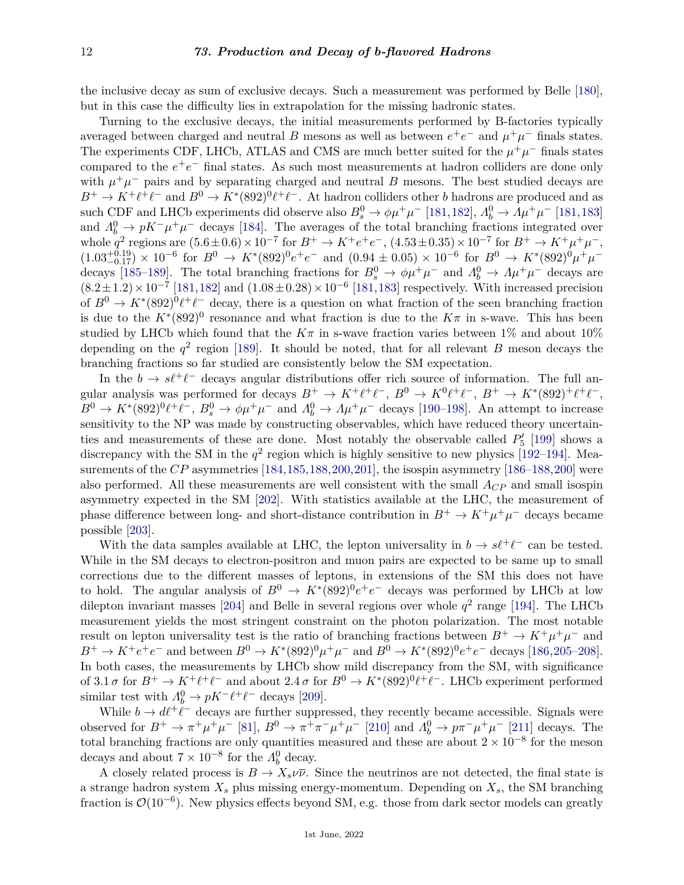the inclusive decay as sum of exclusive decays. Such a measurement was performed by Belle [\[180\]](#page-19-10), but in this case the difficulty lies in extrapolation for the missing hadronic states.

Turning to the exclusive decays, the initial measurements performed by B-factories typically averaged between charged and neutral *B* mesons as well as between  $e^+e^-$  and  $\mu^+\mu^-$  finals states. The experiments CDF, LHCb, ATLAS and CMS are much better suited for the  $\mu^+\mu^-$  finals states compared to the  $e^+e^-$  final states. As such most measurements at hadron colliders are done only with  $\mu^+\mu^-$  pairs and by separating charged and neutral *B* mesons. The best studied decays are  $B^+ \to K^+ \ell^+ \ell^-$  and  $B^0 \to K^* (892)^0 \ell^+ \ell^-$ . At hadron colliders other *b* hadrons are produced and as such CDF and LHCb experiments did observe also  $B_s^0 \to \phi \mu^+ \mu^-$  [\[181,](#page-19-11)[182\]](#page-19-12),  $A_b^0 \to A \mu^+ \mu^-$  [181,[183\]](#page-19-13) and  $\Lambda_b^0 \to pK^-\mu^+\mu^-$  decays [\[184\]](#page-19-14). The averages of the total branching fractions integrated over whole  $q^2$  regions are  $(5.6 \pm 0.6) \times 10^{-7}$  for  $B^+ \to K^+e^+e^-$ ,  $(4.53 \pm 0.35) \times 10^{-7}$  for  $B^+ \to K^+ \mu^+ \mu^-$ ,  $(1.03^{+0.19}_{-0.17}) \times 10^{-6}$  for  $B^0 \to K^*(892)^0 e^+ e^-$  and  $(0.94 \pm 0.05) \times 10^{-6}$  for  $B^0 \to K^*(892)^0 \mu^+ \mu^-$ decays [\[185–](#page-19-15)[189\]](#page-19-16). The total branching fractions for  $B_s^0 \to \phi \mu^+ \mu^-$  and  $A_b^0 \to \Lambda \mu^+ \mu^-$  decays are  $(8.2 \pm 1.2) \times 10^{-7}$  [\[181,](#page-19-11)[182\]](#page-19-12) and  $(1.08 \pm 0.28) \times 10^{-6}$  [181,[183\]](#page-19-13) respectively. With increased precision of  $B^0 \to K^*(892)^0 \ell^+ \ell^-$  decay, there is a question on what fraction of the seen branching fraction is due to the  $K^*(892)^0$  resonance and what fraction is due to the  $K\pi$  in s-wave. This has been studied by LHCb which found that the  $K\pi$  in s-wave fraction varies between 1% and about 10% depending on the  $q^2$  region [\[189\]](#page-19-16). It should be noted, that for all relevant *B* meson decays the branching fractions so far studied are consistently below the SM expectation.

In the  $b \to s\ell^+\ell^-$  decays angular distributions offer rich source of information. The full angular analysis was performed for decays  $B^+ \to K^+ \ell^+ \ell^-$ ,  $B^0 \to K^0 \ell^+ \ell^-$ ,  $B^+ \to K^* (892)^+ \ell^+ \ell^-$ ,  $B^0 \to K^*(892)^0 \ell^+ \ell^-$ ,  $B^0_s \to \phi \mu^+ \mu^-$  and  $A^0_b \to \Lambda \mu^+ \mu^-$  decays [\[190–](#page-19-17)[198\]](#page-20-0). An attempt to increase sensitivity to the NP was made by constructing observables, which have reduced theory uncertainties and measurements of these are done. Most notably the observable called  $P_5'$  [\[199\]](#page-20-1) shows a discrepancy with the SM in the  $q^2$  region which is highly sensitive to new physics [\[192–](#page-19-18)[194\]](#page-19-19). Measurements of the *CP* asymmetries [\[184,](#page-19-14)[185,](#page-19-15)[188,](#page-19-20)[200,](#page-20-2)[201\]](#page-20-3), the isospin asymmetry [\[186–](#page-19-21)188,[200\]](#page-20-2) were also performed. All these measurements are well consistent with the small *ACP* and small isospin asymmetry expected in the SM [\[202\]](#page-20-4). With statistics available at the LHC, the measurement of phase difference between long- and short-distance contribution in  $B^+ \to K^+ \mu^+ \mu^-$  decays became possible [\[203\]](#page-20-5).

With the data samples available at LHC, the lepton universality in  $b \to s\ell^+\ell^-$  can be tested. While in the SM decays to electron-positron and muon pairs are expected to be same up to small corrections due to the different masses of leptons, in extensions of the SM this does not have to hold. The angular analysis of  $B^0 \to K^*(892)^0 e^+e^-$  decays was performed by LHCb at low dilepton invariant masses [\[204\]](#page-20-6) and Belle in several regions over whole  $q^2$  range [\[194\]](#page-19-19). The LHCb measurement yields the most stringent constraint on the photon polarization. The most notable result on lepton universality test is the ratio of branching fractions between  $B^+ \to K^+ \mu^+ \mu^-$  and  $B^+ \to K^+e^+e^-$  and between  $B^0 \to K^*(892)^0 \mu^+\mu^-$  and  $B^0 \to K^*(892)^0 e^+e^-$  decays [\[186,](#page-19-21)[205–](#page-20-7)[208\]](#page-20-8). In both cases, the measurements by LHCb show mild discrepancy from the SM, with significance of  $3.1 \sigma$  for  $B^+ \to K^+ \ell^+ \ell^-$  and about  $2.4 \sigma$  for  $B^0 \to K^* (892)^0 \ell^+ \ell^-$ . LHCb experiment performed similar test with  $\Lambda_b^0 \to pK^- \ell^+ \ell^-$  decays [\[209\]](#page-20-9).

While  $b \to d\ell^+\ell^-$  decays are further suppressed, they recently became accessible. Signals were observed for  $B^+ \to \pi^+ \mu^+ \mu^-$  [\[81\]](#page-16-4),  $B^0 \to \pi^+ \pi^- \mu^+ \mu^-$  [\[210\]](#page-20-10) and  $\Lambda_b^0 \to p \pi^- \mu^+ \mu^-$  [\[211\]](#page-20-11) decays. The total branching fractions are only quantities measured and these are about  $2 \times 10^{-8}$  for the meson decays and about  $7 \times 10^{-8}$  for the  $\Lambda_b^0$  decay.

A closely related process is  $B \to X_s \nu \bar{\nu}$ . Since the neutrinos are not detected, the final state is a strange hadron system  $X_s$  plus missing energy-momentum. Depending on  $X_s$ , the SM branching fraction is  $\mathcal{O}(10^{-6})$ . New physics effects beyond SM, e.g. those from dark sector models can greatly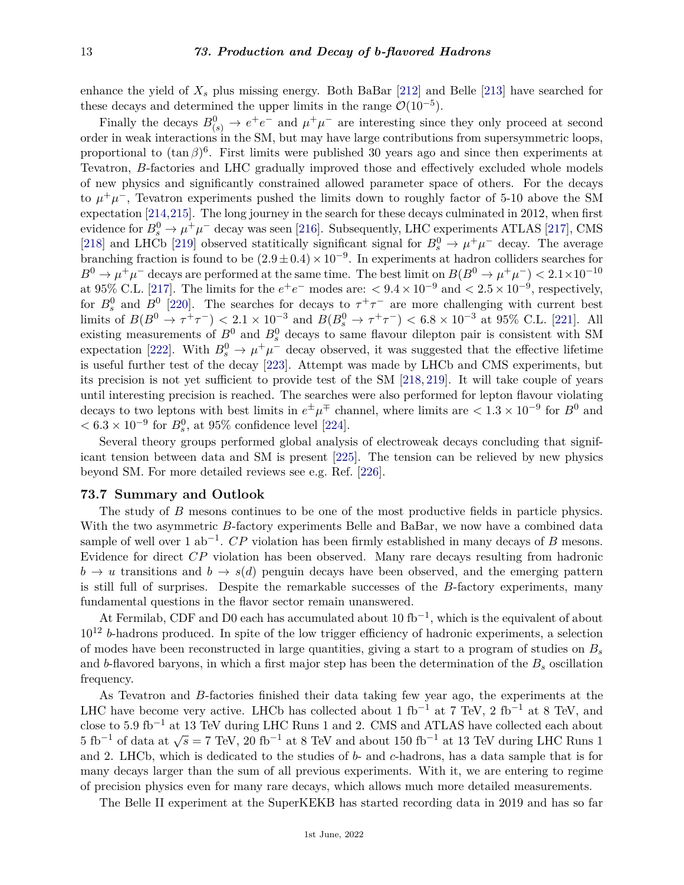enhance the yield of  $X_s$  plus missing energy. Both BaBar [\[212\]](#page-20-12) and Belle [\[213\]](#page-20-13) have searched for these decays and determined the upper limits in the range  $\mathcal{O}(10^{-5})$ .

Finally the decays  $B^0_{(s)} \to e^+e^-$  and  $\mu^+\mu^-$  are interesting since they only proceed at second order in weak interactions in the SM, but may have large contributions from supersymmetric loops, proportional to  $(\tan \beta)^6$ . First limits were published 30 years ago and since then experiments at Tevatron, *B*-factories and LHC gradually improved those and effectively excluded whole models of new physics and significantly constrained allowed parameter space of others. For the decays to  $\mu^+\mu^-$ , Tevatron experiments pushed the limits down to roughly factor of 5-10 above the SM expectation [\[214,](#page-20-14)[215\]](#page-20-15). The long journey in the search for these decays culminated in 2012, when first evidence for  $B_s^0 \to \mu^+\mu^-$  decay was seen [\[216\]](#page-20-16). Subsequently, LHC experiments ATLAS [\[217\]](#page-20-17), CMS [\[218\]](#page-20-18) and LHCb [\[219\]](#page-20-19) observed statitically significant signal for  $B_s^0 \to \mu^+\mu^-$  decay. The average branching fraction is found to be  $(2.9 \pm 0.4) \times 10^{-9}$ . In experiments at hadron colliders searches for  $B^0 \to \mu^+\mu^-$  decays are performed at the same time. The best limit on  $B(B^0 \to \mu^+\mu^-) < 2.1 \times 10^{-10}$ at 95% C.L. [\[217\]](#page-20-17). The limits for the  $e^+e^-$  modes are:  $\langle 9.4 \times 10^{-9}$  and  $\langle 2.5 \times 10^{-9}$ , respectively, for  $B_s^0$  and  $B^0$  [\[220\]](#page-20-20). The searches for decays to  $\tau^+\tau^-$  are more challenging with current best limits of  $B(B^0 \to \tau^+\tau^-)$   $< 2.1 \times 10^{-3}$  and  $B(B_s^0 \to \tau^+\tau^-)$   $< 6.8 \times 10^{-3}$  at 95% C.L. [\[221\]](#page-20-21). All existing measurements of  $B^0$  and  $B^0_s$  decays to same flavour dilepton pair is consistent with SM expectation [\[222\]](#page-20-22). With  $B_s^0 \to \mu^+\mu^-$  decay observed, it was suggested that the effective lifetime is useful further test of the decay [\[223\]](#page-20-23). Attempt was made by LHCb and CMS experiments, but its precision is not yet sufficient to provide test of the SM [\[218,](#page-20-18) [219\]](#page-20-19). It will take couple of years until interesting precision is reached. The searches were also performed for lepton flavour violating decays to two leptons with best limits in  $e^{\pm}\mu^{\mp}$  channel, where limits are  $< 1.3 \times 10^{-9}$  for  $B^0$  and  $< 6.3 \times 10^{-9}$  for  $B_s^0$ , at 95% confidence level [\[224\]](#page-20-24).

Several theory groups performed global analysis of electroweak decays concluding that significant tension between data and SM is present [\[225\]](#page-20-25). The tension can be relieved by new physics beyond SM. For more detailed reviews see e.g. Ref. [\[226\]](#page-20-26).

#### **73.7 Summary and Outlook**

The study of *B* mesons continues to be one of the most productive fields in particle physics. With the two asymmetric *B*-factory experiments Belle and BaBar, we now have a combined data sample of well over 1 ab<sup>-1</sup>. *CP* violation has been firmly established in many decays of *B* mesons. Evidence for direct *CP* violation has been observed. Many rare decays resulting from hadronic  $b \rightarrow u$  transitions and  $b \rightarrow s(d)$  penguin decays have been observed, and the emerging pattern is still full of surprises. Despite the remarkable successes of the *B*-factory experiments, many fundamental questions in the flavor sector remain unanswered.

At Fermilab, CDF and D0 each has accumulated about 10 fb<sup>-1</sup>, which is the equivalent of about 10<sup>12</sup> *b*-hadrons produced. In spite of the low trigger efficiency of hadronic experiments, a selection of modes have been reconstructed in large quantities, giving a start to a program of studies on *B<sup>s</sup>* and *b*-flavored baryons, in which a first major step has been the determination of the *B<sup>s</sup>* oscillation frequency.

As Tevatron and *B*-factories finished their data taking few year ago, the experiments at the LHC have become very active. LHCb has collected about 1 fb<sup>-1</sup> at 7 TeV, 2 fb<sup>-1</sup> at 8 TeV, and close to 5*.*9 fb−<sup>1</sup> at 13 TeV during LHC Runs 1 and 2. CMS and ATLAS have collected each about  $5 \text{ fb}^{-1}$  of data at  $\sqrt{s} = 7 \text{ TeV}$ , 20 fb<sup>-1</sup> at 8 TeV and about 150 fb<sup>-1</sup> at 13 TeV during LHC Runs 1 and 2. LHCb, which is dedicated to the studies of *b*- and *c*-hadrons, has a data sample that is for many decays larger than the sum of all previous experiments. With it, we are entering to regime of precision physics even for many rare decays, which allows much more detailed measurements.

The Belle II experiment at the SuperKEKB has started recording data in 2019 and has so far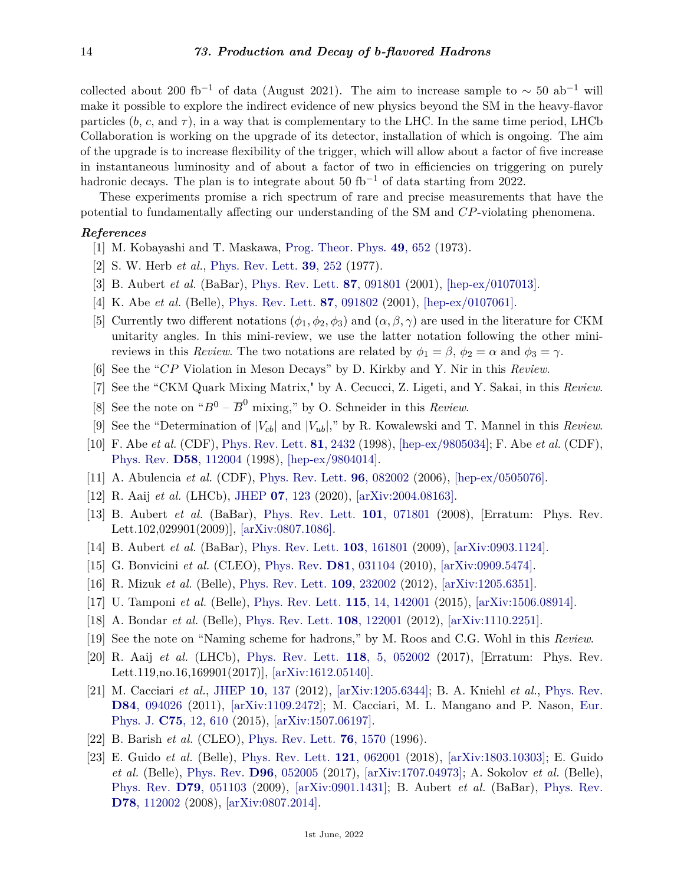collected about 200 fb<sup>-1</sup> of data (August 2021). The aim to increase sample to  $\sim 50$  ab<sup>-1</sup> will make it possible to explore the indirect evidence of new physics beyond the SM in the heavy-flavor particles  $(b, c, \text{ and } \tau)$ , in a way that is complementary to the LHC. In the same time period, LHCb Collaboration is working on the upgrade of its detector, installation of which is ongoing. The aim of the upgrade is to increase flexibility of the trigger, which will allow about a factor of five increase in instantaneous luminosity and of about a factor of two in efficiencies on triggering on purely hadronic decays. The plan is to integrate about 50 fb<sup>-1</sup> of data starting from 2022.

These experiments promise a rich spectrum of rare and precise measurements that have the potential to fundamentally affecting our understanding of the SM and *CP*-violating phenomena.

## <span id="page-13-0"></span>*References*

- [1] M. Kobayashi and T. Maskawa, [Prog. Theor. Phys.](http://doi.org/10.1143/PTP.49.652) **49**[, 652](http://doi.org/10.1143/PTP.49.652) (1973).
- <span id="page-13-1"></span>[2] S. W. Herb *et al.*, [Phys. Rev. Lett.](http://doi.org/10.1103/PhysRevLett.39.252) **39**[, 252](http://doi.org/10.1103/PhysRevLett.39.252) (1977).
- <span id="page-13-2"></span>[3] B. Aubert *et al.* (BaBar), [Phys. Rev. Lett.](http://doi.org/10.1103/PhysRevLett.87.091801) **87**[, 091801](http://doi.org/10.1103/PhysRevLett.87.091801) (2001), [\[hep-ex/0107013\].](https://arxiv.org/abs/hep-ex/0107013)
- <span id="page-13-3"></span>[4] K. Abe *et al.* (Belle), [Phys. Rev. Lett.](http://doi.org/10.1103/PhysRevLett.87.091802) **87**[, 091802](http://doi.org/10.1103/PhysRevLett.87.091802) (2001), [\[hep-ex/0107061\].](https://arxiv.org/abs/hep-ex/0107061)
- <span id="page-13-4"></span>[5] Currently two different notations  $(\phi_1, \phi_2, \phi_3)$  and  $(\alpha, \beta, \gamma)$  are used in the literature for CKM unitarity angles. In this mini-review, we use the latter notation following the other minireviews in this *Review*. The two notations are related by  $\phi_1 = \beta$ ,  $\phi_2 = \alpha$  and  $\phi_3 = \gamma$ .
- <span id="page-13-5"></span>[6] See the "*CP* Violation in Meson Decays" by D. Kirkby and Y. Nir in this *Review*.
- <span id="page-13-6"></span>[7] See the "CKM Quark Mixing Matrix," by A. Cecucci, Z. Ligeti, and Y. Sakai, in this *Review*.
- <span id="page-13-7"></span>[8] See the note on " $B^0 - \overline{B}^0$  mixing," by O. Schneider in this *Review*.
- <span id="page-13-8"></span>[9] See the "Determination of  $|V_{cb}|$  and  $|V_{ub}|$ ," by R. Kowalewski and T. Mannel in this *Review*.
- <span id="page-13-9"></span>[10] F. Abe *et al.* (CDF), [Phys. Rev. Lett.](http://doi.org/10.1103/PhysRevLett.81.2432) **81**[, 2432](http://doi.org/10.1103/PhysRevLett.81.2432) (1998), [\[hep-ex/9805034\];](https://arxiv.org/abs/hep-ex/9805034) F. Abe *et al.* (CDF), [Phys. Rev.](http://doi.org/10.1103/PhysRevD.58.112004) **D58**[, 112004](http://doi.org/10.1103/PhysRevD.58.112004) (1998), [\[hep-ex/9804014\].](https://arxiv.org/abs/hep-ex/9804014)
- <span id="page-13-10"></span>[11] A. Abulencia *et al.* (CDF), [Phys. Rev. Lett.](http://doi.org/10.1103/PhysRevLett.96.082002) **96**[, 082002](http://doi.org/10.1103/PhysRevLett.96.082002) (2006), [\[hep-ex/0505076\].](https://arxiv.org/abs/hep-ex/0505076)
- <span id="page-13-11"></span>[12] R. Aaij *et al.* (LHCb), [JHEP](http://doi.org/10.1007/JHEP07(2020)123) **07**[, 123](http://doi.org/10.1007/JHEP07(2020)123) (2020), [\[arXiv:2004.08163\].](https://arxiv.org/abs/2004.08163)
- <span id="page-13-12"></span>[13] B. Aubert *et al.* (BaBar), [Phys. Rev. Lett.](http://doi.org/10.1103/PhysRevLett.102.029901) **101**[, 071801](http://doi.org/10.1103/PhysRevLett.102.029901) (2008), [Erratum: Phys. Rev. Lett.102,029901(2009)], [\[arXiv:0807.1086\].](https://arxiv.org/abs/0807.1086)
- <span id="page-13-13"></span>[14] B. Aubert *et al.* (BaBar), [Phys. Rev. Lett.](http://doi.org/10.1103/PhysRevLett.103.161801) **103**[, 161801](http://doi.org/10.1103/PhysRevLett.103.161801) (2009), [\[arXiv:0903.1124\].](https://arxiv.org/abs/0903.1124)
- <span id="page-13-14"></span>[15] G. Bonvicini *et al.* (CLEO), [Phys. Rev.](http://doi.org/10.1103/PhysRevD.81.031104) **D81**[, 031104](http://doi.org/10.1103/PhysRevD.81.031104) (2010), [\[arXiv:0909.5474\].](https://arxiv.org/abs/0909.5474)
- <span id="page-13-15"></span>[16] R. Mizuk *et al.* (Belle), [Phys. Rev. Lett.](http://doi.org/10.1103/PhysRevLett.109.232002) **109**[, 232002](http://doi.org/10.1103/PhysRevLett.109.232002) (2012), [\[arXiv:1205.6351\].](https://arxiv.org/abs/1205.6351)
- <span id="page-13-16"></span>[17] U. Tamponi *et al.* (Belle), [Phys. Rev. Lett.](http://doi.org/10.1103/PhysRevLett.115.142001) **115**[, 14, 142001](http://doi.org/10.1103/PhysRevLett.115.142001) (2015), [\[arXiv:1506.08914\].](https://arxiv.org/abs/1506.08914)
- <span id="page-13-17"></span>[18] A. Bondar *et al.* (Belle), [Phys. Rev. Lett.](http://doi.org/10.1103/PhysRevLett.108.122001) **108**[, 122001](http://doi.org/10.1103/PhysRevLett.108.122001) (2012), [\[arXiv:1110.2251\].](https://arxiv.org/abs/1110.2251)
- <span id="page-13-18"></span>[19] See the note on "Naming scheme for hadrons," by M. Roos and C.G. Wohl in this *Review*.
- <span id="page-13-19"></span>[20] R. Aaij *et al.* (LHCb), [Phys. Rev. Lett.](http://doi.org/10.1103/PhysRevLett.119.169901) **118**[, 5, 052002](http://doi.org/10.1103/PhysRevLett.119.169901) (2017), [Erratum: Phys. Rev. Lett.119,no.16,169901(2017)], [\[arXiv:1612.05140\].](https://arxiv.org/abs/1612.05140)
- <span id="page-13-20"></span>[21] M. Cacciari *et al.*, [JHEP](http://doi.org/10.1007/JHEP10(2012)137) **10**[, 137](http://doi.org/10.1007/JHEP10(2012)137) (2012), [\[arXiv:1205.6344\];](https://arxiv.org/abs/1205.6344) B. A. Kniehl *et al.*, [Phys. Rev.](http://doi.org/10.1103/PhysRevD.84.094026) **D84**[, 094026](http://doi.org/10.1103/PhysRevD.84.094026) (2011), [\[arXiv:1109.2472\];](https://arxiv.org/abs/1109.2472) M. Cacciari, M. L. Mangano and P. Nason, [Eur.](http://doi.org/10.1140/epjc/s10052-015-3814-x) [Phys. J.](http://doi.org/10.1140/epjc/s10052-015-3814-x) **C75**[, 12, 610](http://doi.org/10.1140/epjc/s10052-015-3814-x) (2015), [\[arXiv:1507.06197\].](https://arxiv.org/abs/1507.06197)
- <span id="page-13-21"></span>[22] B. Barish *et al.* (CLEO), [Phys. Rev. Lett.](http://doi.org/10.1103/PhysRevLett.76.1570) **76**[, 1570](http://doi.org/10.1103/PhysRevLett.76.1570) (1996).
- <span id="page-13-22"></span>[23] E. Guido *et al.* (Belle), [Phys. Rev. Lett.](http://doi.org/10.1103/PhysRevLett.121.062001) **121**[, 062001](http://doi.org/10.1103/PhysRevLett.121.062001) (2018), [\[arXiv:1803.10303\];](https://arxiv.org/abs/1803.10303) E. Guido *et al.* (Belle), [Phys. Rev.](http://doi.org/10.1103/PhysRevD.96.052005) **D96**[, 052005](http://doi.org/10.1103/PhysRevD.96.052005) (2017), [\[arXiv:1707.04973\];](https://arxiv.org/abs/1707.04973) A. Sokolov *et al.* (Belle), [Phys. Rev.](http://doi.org/10.1103/PhysRevD.79.051103) **D79**[, 051103](http://doi.org/10.1103/PhysRevD.79.051103) (2009), [\[arXiv:0901.1431\];](https://arxiv.org/abs/0901.1431) B. Aubert *et al.* (BaBar), [Phys. Rev.](http://doi.org/10.1103/PhysRevD.78.112002) **D78**[, 112002](http://doi.org/10.1103/PhysRevD.78.112002) (2008), [\[arXiv:0807.2014\].](https://arxiv.org/abs/0807.2014)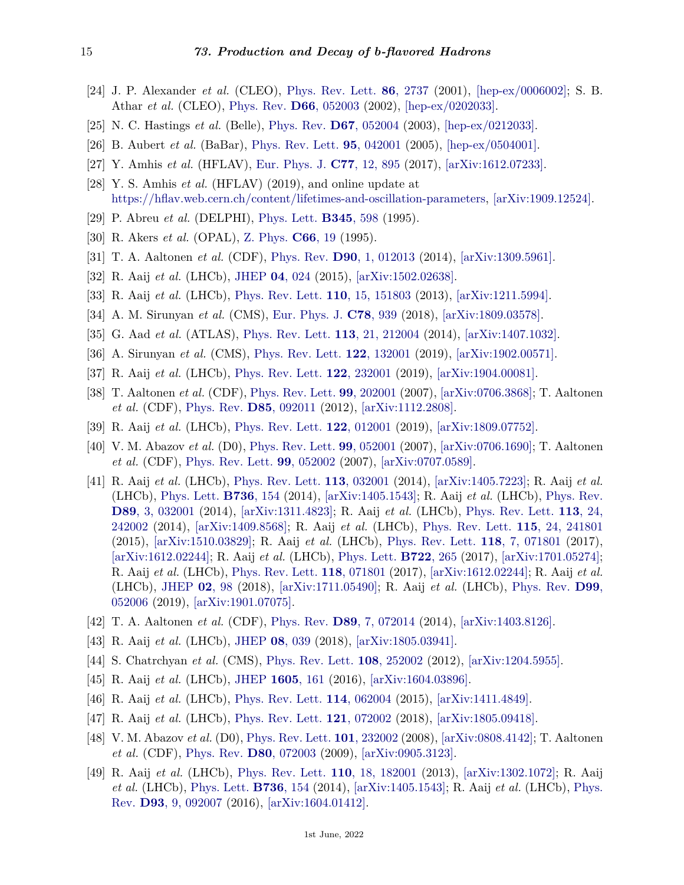- <span id="page-14-0"></span>[24] J. P. Alexander *et al.* (CLEO), [Phys. Rev. Lett.](http://doi.org/10.1103/PhysRevLett.86.2737) **86**[, 2737](http://doi.org/10.1103/PhysRevLett.86.2737) (2001), [\[hep-ex/0006002\];](https://arxiv.org/abs/hep-ex/0006002) S. B. Athar *et al.* (CLEO), [Phys. Rev.](http://doi.org/10.1103/PhysRevD.66.052003) **D66**[, 052003](http://doi.org/10.1103/PhysRevD.66.052003) (2002), [\[hep-ex/0202033\].](https://arxiv.org/abs/hep-ex/0202033)
- <span id="page-14-1"></span>[25] N. C. Hastings *et al.* (Belle), [Phys. Rev.](http://doi.org/10.1103/PhysRevD.67.052004) **D67**[, 052004](http://doi.org/10.1103/PhysRevD.67.052004) (2003), [\[hep-ex/0212033\].](https://arxiv.org/abs/hep-ex/0212033)
- <span id="page-14-2"></span>[26] B. Aubert *et al.* (BaBar), [Phys. Rev. Lett.](http://doi.org/10.1103/PhysRevLett.95.042001) **95**[, 042001](http://doi.org/10.1103/PhysRevLett.95.042001) (2005), [\[hep-ex/0504001\].](https://arxiv.org/abs/hep-ex/0504001)
- <span id="page-14-3"></span>[27] Y. Amhis *et al.* (HFLAV), [Eur. Phys. J.](http://doi.org/10.1140/epjc/s10052-017-5058-4) **C77**[, 12, 895](http://doi.org/10.1140/epjc/s10052-017-5058-4) (2017), [\[arXiv:1612.07233\].](https://arxiv.org/abs/1612.07233)
- <span id="page-14-4"></span>[28] Y. S. Amhis *et al.* (HFLAV) (2019), and online update at [https://hflav.web.cern.ch/content/lifetimes-and-oscillation-parameters,](https://hflav.web.cern.ch/content/lifetimes-and-oscillation-parameters) [\[arXiv:1909.12524\].](https://arxiv.org/abs/1909.12524)
- <span id="page-14-6"></span><span id="page-14-5"></span>[29] P. Abreu *et al.* (DELPHI), [Phys. Lett.](http://doi.org/10.1016/0370-2693(94)01696-A) **[B345](http://doi.org/10.1016/0370-2693(94)01696-A)**, 598 (1995).
- <span id="page-14-7"></span>[30] R. Akers *et al.* (OPAL), [Z. Phys.](http://doi.org/10.1007/BF01496577) **[C66](http://doi.org/10.1007/BF01496577)**, 19 (1995).
- [31] T. A. Aaltonen *et al.* (CDF), [Phys. Rev.](http://doi.org/10.1103/PhysRevD.90.012013) **D90**[, 1, 012013](http://doi.org/10.1103/PhysRevD.90.012013) (2014), [\[arXiv:1309.5961\].](https://arxiv.org/abs/1309.5961)
- <span id="page-14-8"></span>[32] R. Aaij *et al.* (LHCb), [JHEP](http://doi.org/10.1007/JHEP04(2015)024) **04**[, 024](http://doi.org/10.1007/JHEP04(2015)024) (2015), [\[arXiv:1502.02638\].](https://arxiv.org/abs/1502.02638)
- <span id="page-14-9"></span>[33] R. Aaij *et al.* (LHCb), [Phys. Rev. Lett.](http://doi.org/10.1103/PhysRevLett.110.151803) **110**[, 15, 151803](http://doi.org/10.1103/PhysRevLett.110.151803) (2013), [\[arXiv:1211.5994\].](https://arxiv.org/abs/1211.5994)
- <span id="page-14-10"></span>[34] A. M. Sirunyan *et al.* (CMS), [Eur. Phys. J.](http://doi.org/10.1140/epjc/s10052-018-6390-z) **C78**[, 939](http://doi.org/10.1140/epjc/s10052-018-6390-z) (2018), [\[arXiv:1809.03578\].](https://arxiv.org/abs/1809.03578)
- <span id="page-14-11"></span>[35] G. Aad *et al.* (ATLAS), [Phys. Rev. Lett.](http://doi.org/10.1103/PhysRevLett.113.212004) **113**[, 21, 212004](http://doi.org/10.1103/PhysRevLett.113.212004) (2014), [\[arXiv:1407.1032\].](https://arxiv.org/abs/1407.1032)
- <span id="page-14-12"></span>[36] A. Sirunyan *et al.* (CMS), [Phys. Rev. Lett.](http://doi.org/10.1103/PhysRevLett.122.132001) **122**[, 132001](http://doi.org/10.1103/PhysRevLett.122.132001) (2019), [\[arXiv:1902.00571\].](https://arxiv.org/abs/1902.00571)
- <span id="page-14-13"></span>[37] R. Aaij *et al.* (LHCb), [Phys. Rev. Lett.](http://doi.org/10.1103/PhysRevLett.122.232001) **122**[, 232001](http://doi.org/10.1103/PhysRevLett.122.232001) (2019), [\[arXiv:1904.00081\].](https://arxiv.org/abs/1904.00081)
- <span id="page-14-14"></span>[38] T. Aaltonen *et al.* (CDF), [Phys. Rev. Lett.](http://doi.org/10.1103/PhysRevLett.99.202001) **99**[, 202001](http://doi.org/10.1103/PhysRevLett.99.202001) (2007), [\[arXiv:0706.3868\];](https://arxiv.org/abs/0706.3868) T. Aaltonen *et al.* (CDF), [Phys. Rev.](http://doi.org/10.1103/PhysRevD.85.092011) **D85**[, 092011](http://doi.org/10.1103/PhysRevD.85.092011) (2012), [\[arXiv:1112.2808\].](https://arxiv.org/abs/1112.2808)
- <span id="page-14-16"></span><span id="page-14-15"></span>[39] R. Aaij *et al.* (LHCb), [Phys. Rev. Lett.](http://doi.org/10.1103/PhysRevLett.122.012001) **122**[, 012001](http://doi.org/10.1103/PhysRevLett.122.012001) (2019), [\[arXiv:1809.07752\].](https://arxiv.org/abs/1809.07752)
- [40] V. M. Abazov *et al.* (D0), [Phys. Rev. Lett.](http://doi.org/10.1103/PhysRevLett.99.052001) **99**[, 052001](http://doi.org/10.1103/PhysRevLett.99.052001) (2007), [\[arXiv:0706.1690\];](https://arxiv.org/abs/0706.1690) T. Aaltonen *et al.* (CDF), [Phys. Rev. Lett.](http://doi.org/10.1103/PhysRevLett.99.052002) **99**[, 052002](http://doi.org/10.1103/PhysRevLett.99.052002) (2007), [\[arXiv:0707.0589\].](https://arxiv.org/abs/0707.0589)
- <span id="page-14-17"></span>[41] R. Aaij *et al.* (LHCb), [Phys. Rev. Lett.](http://doi.org/10.1103/PhysRevLett.113.032001) **113**[, 032001](http://doi.org/10.1103/PhysRevLett.113.032001) (2014), [\[arXiv:1405.7223\];](https://arxiv.org/abs/1405.7223) R. Aaij *et al.* (LHCb), [Phys. Lett.](http://doi.org/10.1016/j.physletb.2014.06.064) **[B736](http://doi.org/10.1016/j.physletb.2014.06.064)**, 154 (2014), [\[arXiv:1405.1543\];](https://arxiv.org/abs/1405.1543) R. Aaij *et al.* (LHCb), [Phys. Rev.](http://doi.org/10.1103/PhysRevD.89.032001) **D89**[, 3, 032001](http://doi.org/10.1103/PhysRevD.89.032001) (2014), [\[arXiv:1311.4823\];](https://arxiv.org/abs/1311.4823) R. Aaij *et al.* (LHCb), [Phys. Rev. Lett.](http://doi.org/10.1103/PhysRevLett.113.242002) **113**[, 24,](http://doi.org/10.1103/PhysRevLett.113.242002) [242002](http://doi.org/10.1103/PhysRevLett.113.242002) (2014), [\[arXiv:1409.8568\];](https://arxiv.org/abs/1409.8568) R. Aaij *et al.* (LHCb), [Phys. Rev. Lett.](http://doi.org/10.1103/PhysRevLett.115.241801) **115**[, 24, 241801](http://doi.org/10.1103/PhysRevLett.115.241801) (2015), [\[arXiv:1510.03829\];](https://arxiv.org/abs/1510.03829) R. Aaij *et al.* (LHCb), [Phys. Rev. Lett.](http://doi.org/10.1103/PhysRevLett.118.071801) **118**[, 7, 071801](http://doi.org/10.1103/PhysRevLett.118.071801) (2017), [\[arXiv:1612.02244\];](https://arxiv.org/abs/1612.02244) R. Aaij *et al.* (LHCb), [Phys. Lett.](http://doi.org/10.1016/j.physletb.2017.06.045) **[B722](http://doi.org/10.1016/j.physletb.2017.06.045)**, 265 (2017), [\[arXiv:1701.05274\];](https://arxiv.org/abs/1701.05274) R. Aaij *et al.* (LHCb), [Phys. Rev. Lett.](http://doi.org/10.1103/PhysRevLett.118.071801) **118**[, 071801](http://doi.org/10.1103/PhysRevLett.118.071801) (2017), [\[arXiv:1612.02244\];](https://arxiv.org/abs/1612.02244) R. Aaij *et al.* (LHCb), [JHEP](http://doi.org/10.1007/JHEP02(2018)098) **02**[, 98](http://doi.org/10.1007/JHEP02(2018)098) (2018), [\[arXiv:1711.05490\];](https://arxiv.org/abs/1711.05490) R. Aaij *et al.* (LHCb), [Phys. Rev.](http://doi.org/10.1103/PhysRevD.99.052006) **[D99](http://doi.org/10.1103/PhysRevD.99.052006)**, [052006](http://doi.org/10.1103/PhysRevD.99.052006) (2019), [\[arXiv:1901.07075\].](https://arxiv.org/abs/1901.07075)
- <span id="page-14-18"></span>[42] T. A. Aaltonen *et al.* (CDF), [Phys. Rev.](http://doi.org/10.1103/PhysRevD.89.072014) **D89**[, 7, 072014](http://doi.org/10.1103/PhysRevD.89.072014) (2014), [\[arXiv:1403.8126\].](https://arxiv.org/abs/1403.8126)
- <span id="page-14-19"></span>[43] R. Aaij *et al.* (LHCb), [JHEP](http://doi.org/10.1007/JHEP08(2018)039) **08**[, 039](http://doi.org/10.1007/JHEP08(2018)039) (2018), [\[arXiv:1805.03941\].](https://arxiv.org/abs/1805.03941)
- <span id="page-14-21"></span><span id="page-14-20"></span>[44] S. Chatrchyan *et al.* (CMS), [Phys. Rev. Lett.](http://doi.org/10.1103/PhysRevLett.108.252002) **108**[, 252002](http://doi.org/10.1103/PhysRevLett.108.252002) (2012), [\[arXiv:1204.5955\].](https://arxiv.org/abs/1204.5955)
- <span id="page-14-22"></span>[45] R. Aaij *et al.* (LHCb), [JHEP](http://doi.org/10.1007/JHEP05(2016)161) **[1605](http://doi.org/10.1007/JHEP05(2016)161)**, 161 (2016), [\[arXiv:1604.03896\].](https://arxiv.org/abs/1604.03896)
- [46] R. Aaij *et al.* (LHCb), [Phys. Rev. Lett.](http://doi.org/10.1103/PhysRevLett.114.062004) **114**[, 062004](http://doi.org/10.1103/PhysRevLett.114.062004) (2015), [\[arXiv:1411.4849\].](https://arxiv.org/abs/1411.4849)
- <span id="page-14-23"></span>[47] R. Aaij *et al.* (LHCb), [Phys. Rev. Lett.](http://doi.org/10.1103/PhysRevLett.121.072002) **121**[, 072002](http://doi.org/10.1103/PhysRevLett.121.072002) (2018), [\[arXiv:1805.09418\].](https://arxiv.org/abs/1805.09418)
- <span id="page-14-24"></span>[48] V. M. Abazov *et al.* (D0), [Phys. Rev. Lett.](http://doi.org/10.1103/PhysRevLett.101.232002) **101**[, 232002](http://doi.org/10.1103/PhysRevLett.101.232002) (2008), [\[arXiv:0808.4142\];](https://arxiv.org/abs/0808.4142) T. Aaltonen *et al.* (CDF), [Phys. Rev.](http://doi.org/10.1103/PhysRevD.80.072003) **D80**[, 072003](http://doi.org/10.1103/PhysRevD.80.072003) (2009), [\[arXiv:0905.3123\].](https://arxiv.org/abs/0905.3123)
- <span id="page-14-25"></span>[49] R. Aaij *et al.* (LHCb), [Phys. Rev. Lett.](http://doi.org/10.1103/PhysRevLett.110.182001) **110**[, 18, 182001](http://doi.org/10.1103/PhysRevLett.110.182001) (2013), [\[arXiv:1302.1072\];](https://arxiv.org/abs/1302.1072) R. Aaij *et al.* (LHCb), [Phys. Lett.](http://doi.org/10.1016/j.physletb.2014.06.064) **[B736](http://doi.org/10.1016/j.physletb.2014.06.064)**, 154 (2014), [\[arXiv:1405.1543\];](https://arxiv.org/abs/1405.1543) R. Aaij *et al.* (LHCb), [Phys.](http://doi.org/10.1103/PhysRevD.93.092007) [Rev.](http://doi.org/10.1103/PhysRevD.93.092007) **D93**[, 9, 092007](http://doi.org/10.1103/PhysRevD.93.092007) (2016), [\[arXiv:1604.01412\].](https://arxiv.org/abs/1604.01412)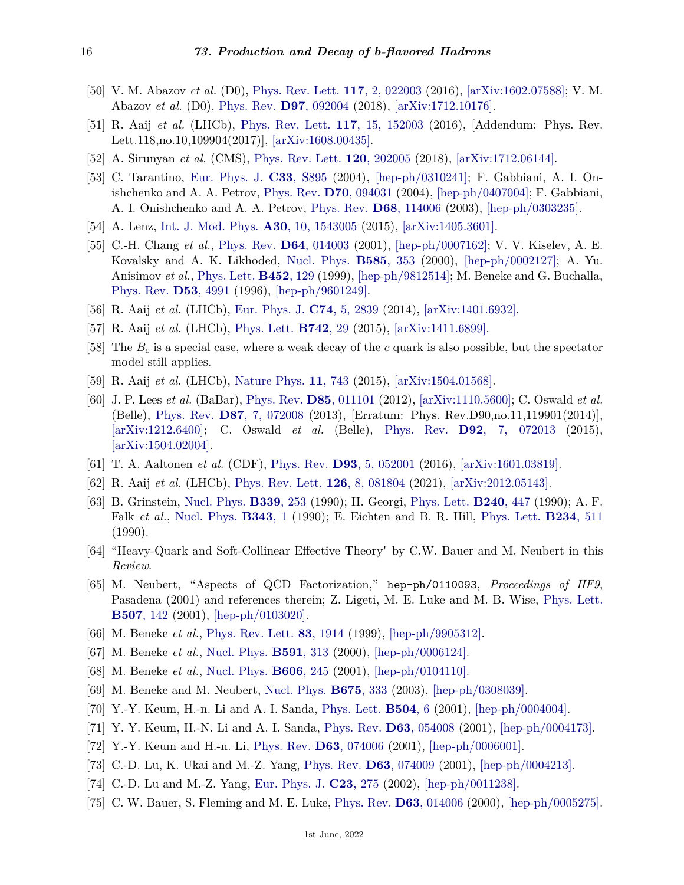- <span id="page-15-0"></span>[50] V. M. Abazov *et al.* (D0), [Phys. Rev. Lett.](http://doi.org/10.1103/PhysRevLett.117.022003) **117**[, 2, 022003](http://doi.org/10.1103/PhysRevLett.117.022003) (2016), [\[arXiv:1602.07588\];](https://arxiv.org/abs/1602.07588) V. M. Abazov *et al.* (D0), [Phys. Rev.](http://doi.org/10.1103/PhysRevD.97.092004) **D97**[, 092004](http://doi.org/10.1103/PhysRevD.97.092004) (2018), [\[arXiv:1712.10176\].](https://arxiv.org/abs/1712.10176)
- <span id="page-15-1"></span>[51] R. Aaij *et al.* (LHCb), [Phys. Rev. Lett.](http://doi.org/10.1103/PhysRevLett.118.109904) **117**[, 15, 152003](http://doi.org/10.1103/PhysRevLett.118.109904) (2016), [Addendum: Phys. Rev. Lett.118,no.10,109904(2017)], [\[arXiv:1608.00435\].](https://arxiv.org/abs/1608.00435)
- <span id="page-15-2"></span>[52] A. Sirunyan *et al.* (CMS), [Phys. Rev. Lett.](http://doi.org/10.1103/PhysRevLett.120.202005) **120**[, 202005](http://doi.org/10.1103/PhysRevLett.120.202005) (2018), [\[arXiv:1712.06144\].](https://arxiv.org/abs/1712.06144)
- <span id="page-15-3"></span>[53] C. Tarantino, [Eur. Phys. J.](http://doi.org/10.1140/epjcd/s2003-03-1006-y) **C33**[, S895](http://doi.org/10.1140/epjcd/s2003-03-1006-y) (2004), [\[hep-ph/0310241\];](https://arxiv.org/abs/hep-ph/0310241) F. Gabbiani, A. I. Onishchenko and A. A. Petrov, [Phys. Rev.](http://doi.org/10.1103/PhysRevD.70.094031) **D70**[, 094031](http://doi.org/10.1103/PhysRevD.70.094031) (2004), [\[hep-ph/0407004\];](https://arxiv.org/abs/hep-ph/0407004) F. Gabbiani, A. I. Onishchenko and A. A. Petrov, [Phys. Rev.](http://doi.org/10.1103/PhysRevD.68.114006) **D68**[, 114006](http://doi.org/10.1103/PhysRevD.68.114006) (2003), [\[hep-ph/0303235\].](https://arxiv.org/abs/hep-ph/0303235)
- <span id="page-15-4"></span>[54] A. Lenz, [Int. J. Mod. Phys.](http://doi.org/10.1142/S0217751X15430058) **A30**[, 10, 1543005](http://doi.org/10.1142/S0217751X15430058) (2015), [\[arXiv:1405.3601\].](https://arxiv.org/abs/1405.3601)
- <span id="page-15-5"></span>[55] C.-H. Chang *et al.*, [Phys. Rev.](http://doi.org/10.1103/PhysRevD.64.014003) **D64**[, 014003](http://doi.org/10.1103/PhysRevD.64.014003) (2001), [\[hep-ph/0007162\];](https://arxiv.org/abs/hep-ph/0007162) V. V. Kiselev, A. E. Kovalsky and A. K. Likhoded, [Nucl. Phys.](http://doi.org/10.1016/S0550-3213(00)00386-2) **[B585](http://doi.org/10.1016/S0550-3213(00)00386-2)**, 353 (2000), [\[hep-ph/0002127\];](https://arxiv.org/abs/hep-ph/0002127) A. Yu. Anisimov *et al.*, [Phys. Lett.](http://doi.org/10.1016/S0370-2693(99)00273-7) **[B452](http://doi.org/10.1016/S0370-2693(99)00273-7)**, 129 (1999), [\[hep-ph/9812514\];](https://arxiv.org/abs/hep-ph/9812514) M. Beneke and G. Buchalla, [Phys. Rev.](http://doi.org/10.1103/PhysRevD.53.4991) **D53**[, 4991](http://doi.org/10.1103/PhysRevD.53.4991) (1996), [\[hep-ph/9601249\].](https://arxiv.org/abs/hep-ph/9601249)
- <span id="page-15-6"></span>[56] R. Aaij *et al.* (LHCb), [Eur. Phys. J.](http://doi.org/10.1140/epjc/s10052-014-2839-x) **C74**[, 5, 2839](http://doi.org/10.1140/epjc/s10052-014-2839-x) (2014), [\[arXiv:1401.6932\].](https://arxiv.org/abs/1401.6932)
- <span id="page-15-7"></span>[57] R. Aaij *et al.* (LHCb), [Phys. Lett.](http://doi.org/10.1016/j.physletb.2015.01.010) **[B742](http://doi.org/10.1016/j.physletb.2015.01.010)**, 29 (2015), [\[arXiv:1411.6899\].](https://arxiv.org/abs/1411.6899)
- <span id="page-15-8"></span>[58] The *B<sup>c</sup>* is a special case, where a weak decay of the *c* quark is also possible, but the spectator model still applies.
- <span id="page-15-9"></span>[59] R. Aaij *et al.* (LHCb), [Nature Phys.](http://doi.org/10.1038/nphys3415) **11**[, 743](http://doi.org/10.1038/nphys3415) (2015), [\[arXiv:1504.01568\].](https://arxiv.org/abs/1504.01568)
- <span id="page-15-10"></span>[60] J. P. Lees *et al.* (BaBar), [Phys. Rev.](http://doi.org/10.1103/PhysRevD.85.011101) **D85**[, 011101](http://doi.org/10.1103/PhysRevD.85.011101) (2012), [\[arXiv:1110.5600\];](https://arxiv.org/abs/1110.5600) C. Oswald *et al.* (Belle), [Phys. Rev.](http://doi.org/10.1103/PhysRevD.90.119901) **D87**[, 7, 072008](http://doi.org/10.1103/PhysRevD.90.119901) (2013), [Erratum: Phys. Rev.D90,no.11,119901(2014)], [\[arXiv:1212.6400\];](https://arxiv.org/abs/1212.6400) C. Oswald *et al.* (Belle), [Phys. Rev.](http://doi.org/10.1103/PhysRevD.92.072013) **D92**[, 7, 072013](http://doi.org/10.1103/PhysRevD.92.072013) (2015), [\[arXiv:1504.02004\].](https://arxiv.org/abs/1504.02004)
- <span id="page-15-12"></span><span id="page-15-11"></span>[61] T. A. Aaltonen *et al.* (CDF), [Phys. Rev.](http://doi.org/10.1103/PhysRevD.93.052001) **D93**[, 5, 052001](http://doi.org/10.1103/PhysRevD.93.052001) (2016), [\[arXiv:1601.03819\].](https://arxiv.org/abs/1601.03819)
- [62] R. Aaij *et al.* (LHCb), [Phys. Rev. Lett.](http://doi.org/10.1103/PhysRevLett.126.081804) **126**[, 8, 081804](http://doi.org/10.1103/PhysRevLett.126.081804) (2021), [\[arXiv:2012.05143\].](https://arxiv.org/abs/2012.05143)
- <span id="page-15-13"></span>[63] B. Grinstein, [Nucl. Phys.](http://doi.org/10.1016/0550-3213(90)90349-I) **[B339](http://doi.org/10.1016/0550-3213(90)90349-I)**, 253 (1990); H. Georgi, [Phys. Lett.](http://doi.org/10.1016/0370-2693(90)91128-X) **[B240](http://doi.org/10.1016/0370-2693(90)91128-X)**, 447 (1990); A. F. Falk *et al.*, [Nucl. Phys.](http://doi.org/10.1016/0550-3213(90)90591-Z) **[B343](http://doi.org/10.1016/0550-3213(90)90591-Z)**, 1 (1990); E. Eichten and B. R. Hill, [Phys. Lett.](http://doi.org/10.1016/0370-2693(90)92049-O) **[B234](http://doi.org/10.1016/0370-2693(90)92049-O)**, 511 (1990).
- <span id="page-15-14"></span>[64] "Heavy-Quark and Soft-Collinear Effective Theory" by C.W. Bauer and M. Neubert in this *Review*.
- <span id="page-15-15"></span>[65] M. Neubert, "Aspects of QCD Factorization," hep-ph/0110093, *Proceedings of HF9*, Pasadena (2001) and references therein; Z. Ligeti, M. E. Luke and M. B. Wise, [Phys. Lett.](http://doi.org/10.1016/S0370-2693(01)00424-5) **[B507](http://doi.org/10.1016/S0370-2693(01)00424-5)**, 142 (2001), [\[hep-ph/0103020\].](https://arxiv.org/abs/hep-ph/0103020)
- <span id="page-15-16"></span>[66] M. Beneke *et al.*, [Phys. Rev. Lett.](http://doi.org/10.1103/PhysRevLett.83.1914) **83**[, 1914](http://doi.org/10.1103/PhysRevLett.83.1914) (1999), [\[hep-ph/9905312\].](https://arxiv.org/abs/hep-ph/9905312)
- [67] M. Beneke *et al.*, [Nucl. Phys.](http://doi.org/10.1016/S0550-3213(00)00559-9) **[B591](http://doi.org/10.1016/S0550-3213(00)00559-9)**, 313 (2000), [\[hep-ph/0006124\].](https://arxiv.org/abs/hep-ph/0006124)
- [68] M. Beneke *et al.*, [Nucl. Phys.](http://doi.org/10.1016/S0550-3213(01)00251-6) **[B606](http://doi.org/10.1016/S0550-3213(01)00251-6)**, 245 (2001), [\[hep-ph/0104110\].](https://arxiv.org/abs/hep-ph/0104110)
- <span id="page-15-17"></span>[69] M. Beneke and M. Neubert, [Nucl. Phys.](http://doi.org/10.1016/j.nuclphysb.2003.09.026) **[B675](http://doi.org/10.1016/j.nuclphysb.2003.09.026)**, 333 (2003), [\[hep-ph/0308039\].](https://arxiv.org/abs/hep-ph/0308039)
- <span id="page-15-18"></span>[70] Y.-Y. Keum, H.-n. Li and A. I. Sanda, [Phys. Lett.](http://doi.org/10.1016/S0370-2693(01)00247-7) **[B504](http://doi.org/10.1016/S0370-2693(01)00247-7)**, 6 (2001), [\[hep-ph/0004004\].](https://arxiv.org/abs/hep-ph/0004004)
- [71] Y. Y. Keum, H.-N. Li and A. I. Sanda, [Phys. Rev.](http://doi.org/10.1103/PhysRevD.63.054008) **D63**[, 054008](http://doi.org/10.1103/PhysRevD.63.054008) (2001), [\[hep-ph/0004173\].](https://arxiv.org/abs/hep-ph/0004173)
- [72] Y.-Y. Keum and H.-n. Li, [Phys. Rev.](http://doi.org/10.1103/PhysRevD.63.074006) **D63**[, 074006](http://doi.org/10.1103/PhysRevD.63.074006) (2001), [\[hep-ph/0006001\].](https://arxiv.org/abs/hep-ph/0006001)
- [73] C.-D. Lu, K. Ukai and M.-Z. Yang, [Phys. Rev.](http://doi.org/10.1103/PhysRevD.63.074009) **D63**[, 074009](http://doi.org/10.1103/PhysRevD.63.074009) (2001), [\[hep-ph/0004213\].](https://arxiv.org/abs/hep-ph/0004213)
- <span id="page-15-19"></span>[74] C.-D. Lu and M.-Z. Yang, [Eur. Phys. J.](http://doi.org/10.1007/s100520100878) **C23**[, 275](http://doi.org/10.1007/s100520100878) (2002), [\[hep-ph/0011238\].](https://arxiv.org/abs/hep-ph/0011238)
- <span id="page-15-20"></span>[75] C. W. Bauer, S. Fleming and M. E. Luke, [Phys. Rev.](http://doi.org/10.1103/PhysRevD.63.014006) **D63**[, 014006](http://doi.org/10.1103/PhysRevD.63.014006) (2000), [\[hep-ph/0005275\].](https://arxiv.org/abs/hep-ph/0005275)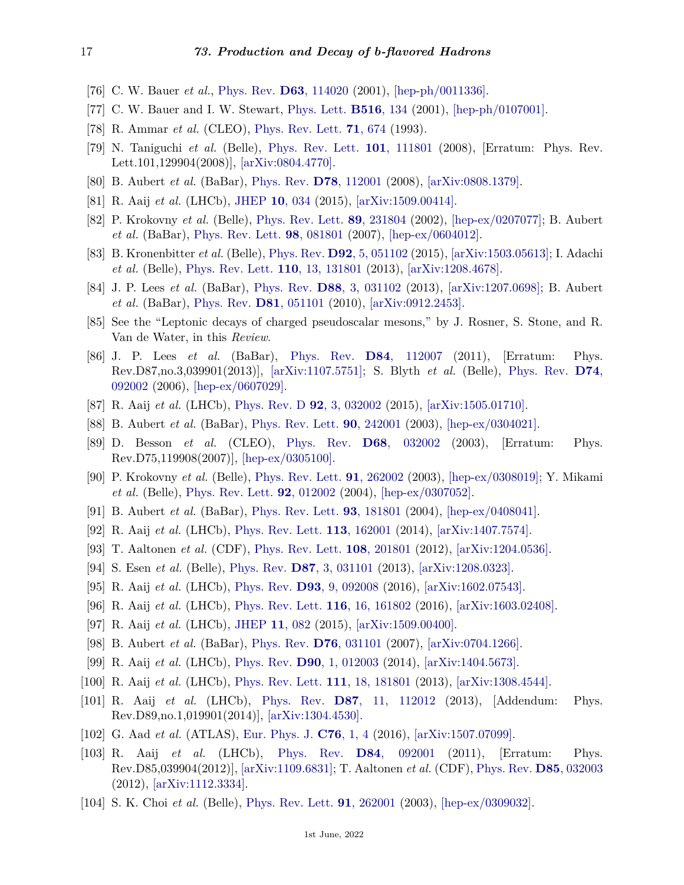- [76] C. W. Bauer *et al.*, [Phys. Rev.](http://doi.org/10.1103/PhysRevD.63.114020) **D63**[, 114020](http://doi.org/10.1103/PhysRevD.63.114020) (2001), [\[hep-ph/0011336\].](https://arxiv.org/abs/hep-ph/0011336)
- <span id="page-16-0"></span>[77] C. W. Bauer and I. W. Stewart, [Phys. Lett.](http://doi.org/10.1016/S0370-2693(01)00902-9) **[B516](http://doi.org/10.1016/S0370-2693(01)00902-9)**, 134 (2001), [\[hep-ph/0107001\].](https://arxiv.org/abs/hep-ph/0107001)
- <span id="page-16-1"></span>[78] R. Ammar *et al.* (CLEO), [Phys. Rev. Lett.](http://doi.org/10.1103/PhysRevLett.71.674) **71**[, 674](http://doi.org/10.1103/PhysRevLett.71.674) (1993).
- <span id="page-16-2"></span>[79] N. Taniguchi *et al.* (Belle), [Phys. Rev. Lett.](http://doi.org/10.1103/PhysRevLett.101.129904) **101**[, 111801](http://doi.org/10.1103/PhysRevLett.101.129904) (2008), [Erratum: Phys. Rev. Lett.101,129904(2008)], [\[arXiv:0804.4770\].](https://arxiv.org/abs/0804.4770)
- <span id="page-16-3"></span>[80] B. Aubert *et al.* (BaBar), [Phys. Rev.](http://doi.org/10.1103/PhysRevD.78.112001) **D78**[, 112001](http://doi.org/10.1103/PhysRevD.78.112001) (2008), [\[arXiv:0808.1379\].](https://arxiv.org/abs/0808.1379)
- <span id="page-16-4"></span>[81] R. Aaij *et al.* (LHCb), [JHEP](http://doi.org/10.1007/JHEP10(2015)034) **10**[, 034](http://doi.org/10.1007/JHEP10(2015)034) (2015), [\[arXiv:1509.00414\].](https://arxiv.org/abs/1509.00414)
- <span id="page-16-5"></span>[82] P. Krokovny *et al.* (Belle), [Phys. Rev. Lett.](http://doi.org/10.1103/PhysRevLett.89.231804) **89**[, 231804](http://doi.org/10.1103/PhysRevLett.89.231804) (2002), [\[hep-ex/0207077\];](https://arxiv.org/abs/hep-ex/0207077) B. Aubert *et al.* (BaBar), [Phys. Rev. Lett.](http://doi.org/10.1103/PhysRevLett.98.081801) **98**[, 081801](http://doi.org/10.1103/PhysRevLett.98.081801) (2007), [\[hep-ex/0604012\].](https://arxiv.org/abs/hep-ex/0604012)
- <span id="page-16-6"></span>[83] B. Kronenbitter *et al.* (Belle), [Phys. Rev.](http://doi.org/10.1103/PhysRevD.92.051102) **D92**[, 5, 051102](http://doi.org/10.1103/PhysRevD.92.051102) (2015), [\[arXiv:1503.05613\];](https://arxiv.org/abs/1503.05613) I. Adachi *et al.* (Belle), [Phys. Rev. Lett.](http://doi.org/10.1103/PhysRevLett.110.131801) **110**[, 13, 131801](http://doi.org/10.1103/PhysRevLett.110.131801) (2013), [\[arXiv:1208.4678\].](https://arxiv.org/abs/1208.4678)
- <span id="page-16-7"></span>[84] J. P. Lees *et al.* (BaBar), [Phys. Rev.](http://doi.org/10.1103/PhysRevD.88.031102) **D88**[, 3, 031102](http://doi.org/10.1103/PhysRevD.88.031102) (2013), [\[arXiv:1207.0698\];](https://arxiv.org/abs/1207.0698) B. Aubert *et al.* (BaBar), [Phys. Rev.](http://doi.org/10.1103/PhysRevD.81.051101) **D81**[, 051101](http://doi.org/10.1103/PhysRevD.81.051101) (2010), [\[arXiv:0912.2453\].](https://arxiv.org/abs/0912.2453)
- <span id="page-16-8"></span>[85] See the "Leptonic decays of charged pseudoscalar mesons," by J. Rosner, S. Stone, and R. Van de Water, in this *Review*.
- <span id="page-16-9"></span>[86] J. P. Lees *et al.* (BaBar), [Phys. Rev.](http://doi.org/10.1103/PhysRevD.84.112007) **D84**[, 112007](http://doi.org/10.1103/PhysRevD.84.112007) (2011), [Erratum: Phys. Rev.D87,no.3,039901(2013)], [\[arXiv:1107.5751\];](https://arxiv.org/abs/1107.5751) S. Blyth *et al.* (Belle), [Phys. Rev.](http://doi.org/10.1103/PhysRevD.74.092002) **[D74](http://doi.org/10.1103/PhysRevD.74.092002)**, [092002](http://doi.org/10.1103/PhysRevD.74.092002) (2006), [\[hep-ex/0607029\].](https://arxiv.org/abs/hep-ex/0607029)
- <span id="page-16-10"></span>[87] R. Aaij *et al.* (LHCb), [Phys. Rev. D](http://doi.org/10.1103/PhysRevD.92.032002) **92**[, 3, 032002](http://doi.org/10.1103/PhysRevD.92.032002) (2015), [\[arXiv:1505.01710\].](https://arxiv.org/abs/1505.01710)
- <span id="page-16-11"></span>[88] B. Aubert *et al.* (BaBar), [Phys. Rev. Lett.](http://doi.org/10.1103/PhysRevLett.90.242001) **90**[, 242001](http://doi.org/10.1103/PhysRevLett.90.242001) (2003), [\[hep-ex/0304021\].](https://arxiv.org/abs/hep-ex/0304021)
- <span id="page-16-12"></span>[89] D. Besson *et al.* (CLEO), [Phys. Rev.](http://doi.org/10.1103/PhysRevD.68.032002) **D68**[, 032002](http://doi.org/10.1103/PhysRevD.68.032002) (2003), [Erratum: Phys. Rev.D75,119908(2007)], [\[hep-ex/0305100\].](https://arxiv.org/abs/hep-ex/0305100)
- <span id="page-16-13"></span>[90] P. Krokovny *et al.* (Belle), [Phys. Rev. Lett.](http://doi.org/10.1103/PhysRevLett.91.262002) **91**[, 262002](http://doi.org/10.1103/PhysRevLett.91.262002) (2003), [\[hep-ex/0308019\];](https://arxiv.org/abs/hep-ex/0308019) Y. Mikami *et al.* (Belle), [Phys. Rev. Lett.](http://doi.org/10.1103/PhysRevLett.92.012002) **92**[, 012002](http://doi.org/10.1103/PhysRevLett.92.012002) (2004), [\[hep-ex/0307052\].](https://arxiv.org/abs/hep-ex/0307052)
- <span id="page-16-15"></span><span id="page-16-14"></span>[91] B. Aubert *et al.* (BaBar), [Phys. Rev. Lett.](http://doi.org/10.1103/PhysRevLett.93.181801) **93**[, 181801](http://doi.org/10.1103/PhysRevLett.93.181801) (2004), [\[hep-ex/0408041\].](https://arxiv.org/abs/hep-ex/0408041)
- [92] R. Aaij *et al.* (LHCb), [Phys. Rev. Lett.](http://doi.org/10.1103/PhysRevLett.113.162001) **113**[, 162001](http://doi.org/10.1103/PhysRevLett.113.162001) (2014), [\[arXiv:1407.7574\].](https://arxiv.org/abs/1407.7574)
- <span id="page-16-16"></span>[93] T. Aaltonen *et al.* (CDF), [Phys. Rev. Lett.](http://doi.org/10.1103/PhysRevLett.108.201801) **108**[, 201801](http://doi.org/10.1103/PhysRevLett.108.201801) (2012), [\[arXiv:1204.0536\].](https://arxiv.org/abs/1204.0536)
- <span id="page-16-18"></span><span id="page-16-17"></span>[94] S. Esen *et al.* (Belle), [Phys. Rev.](http://doi.org/10.1103/PhysRevD.87.031101) **D87**[, 3, 031101](http://doi.org/10.1103/PhysRevD.87.031101) (2013), [\[arXiv:1208.0323\].](https://arxiv.org/abs/1208.0323)
- <span id="page-16-19"></span>[95] R. Aaij *et al.* (LHCb), [Phys. Rev.](http://doi.org/10.1103/PhysRevD.93.092008) **D93**[, 9, 092008](http://doi.org/10.1103/PhysRevD.93.092008) (2016), [\[arXiv:1602.07543\].](https://arxiv.org/abs/1602.07543)
- [96] R. Aaij *et al.* (LHCb), [Phys. Rev. Lett.](http://doi.org/10.1103/PhysRevLett.116.161802) **116**[, 16, 161802](http://doi.org/10.1103/PhysRevLett.116.161802) (2016), [\[arXiv:1603.02408\].](https://arxiv.org/abs/1603.02408)
- <span id="page-16-20"></span>[97] R. Aaij *et al.* (LHCb), [JHEP](http://doi.org/10.1007/JHEP11(2015)082) **11**[, 082](http://doi.org/10.1007/JHEP11(2015)082) (2015), [\[arXiv:1509.00400\].](https://arxiv.org/abs/1509.00400)
- <span id="page-16-21"></span>[98] B. Aubert *et al.* (BaBar), [Phys. Rev.](http://doi.org/10.1103/PhysRevD.76.031101) **D76**[, 031101](http://doi.org/10.1103/PhysRevD.76.031101) (2007), [\[arXiv:0704.1266\].](https://arxiv.org/abs/0704.1266)
- <span id="page-16-22"></span>[99] R. Aaij *et al.* (LHCb), [Phys. Rev.](http://doi.org/10.1103/PhysRevD.90.012003) **D90**[, 1, 012003](http://doi.org/10.1103/PhysRevD.90.012003) (2014), [\[arXiv:1404.5673\].](https://arxiv.org/abs/1404.5673)
- <span id="page-16-23"></span>[100] R. Aaij *et al.* (LHCb), [Phys. Rev. Lett.](http://doi.org/10.1103/PhysRevLett.111.181801) **111**[, 18, 181801](http://doi.org/10.1103/PhysRevLett.111.181801) (2013), [\[arXiv:1308.4544\].](https://arxiv.org/abs/1308.4544)
- <span id="page-16-24"></span>[101] R. Aaij *et al.* (LHCb), [Phys. Rev.](http://doi.org/10.1103/PhysRevD.87.112012) **D87**[, 11, 112012](http://doi.org/10.1103/PhysRevD.87.112012) (2013), [Addendum: Phys. Rev.D89,no.1,019901(2014)], [\[arXiv:1304.4530\].](https://arxiv.org/abs/1304.4530)
- <span id="page-16-25"></span>[102] G. Aad *et al.* (ATLAS), [Eur. Phys. J.](http://doi.org/10.1140/epjc/s10052-015-3743-8) **C76**[, 1, 4](http://doi.org/10.1140/epjc/s10052-015-3743-8) (2016), [\[arXiv:1507.07099\].](https://arxiv.org/abs/1507.07099)
- <span id="page-16-26"></span>[103] R. Aaij *et al.* (LHCb), [Phys. Rev.](http://doi.org/10.1103/PhysRevD.84.092001) **D84**[, 092001](http://doi.org/10.1103/PhysRevD.84.092001) (2011), [Erratum: Phys. Rev.D85,039904(2012)], [\[arXiv:1109.6831\];](https://arxiv.org/abs/1109.6831) T. Aaltonen *et al.* (CDF), [Phys. Rev.](http://doi.org/10.1103/PhysRevD.85.032003) **D85**[, 032003](http://doi.org/10.1103/PhysRevD.85.032003) (2012), [\[arXiv:1112.3334\].](https://arxiv.org/abs/1112.3334)
- <span id="page-16-27"></span>[104] S. K. Choi *et al.* (Belle), [Phys. Rev. Lett.](http://doi.org/10.1103/PhysRevLett.91.262001) **91**[, 262001](http://doi.org/10.1103/PhysRevLett.91.262001) (2003), [\[hep-ex/0309032\].](https://arxiv.org/abs/hep-ex/0309032)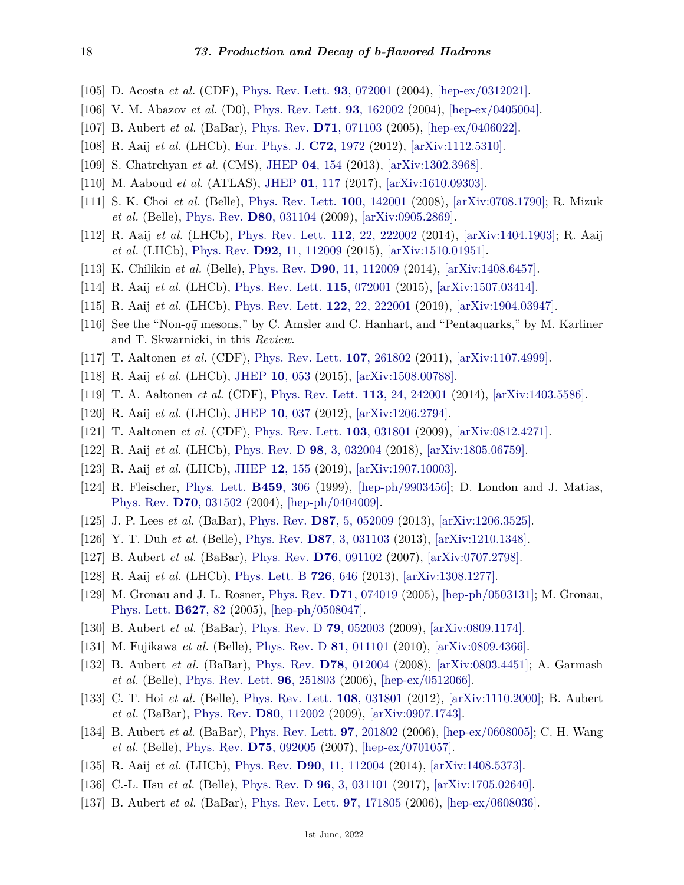- <span id="page-17-0"></span>[105] D. Acosta *et al.* (CDF), [Phys. Rev. Lett.](http://doi.org/10.1103/PhysRevLett.93.072001) **93**[, 072001](http://doi.org/10.1103/PhysRevLett.93.072001) (2004), [\[hep-ex/0312021\].](https://arxiv.org/abs/hep-ex/0312021)
- <span id="page-17-1"></span>[106] V. M. Abazov *et al.* (D0), [Phys. Rev. Lett.](http://doi.org/10.1103/PhysRevLett.93.162002) **93**[, 162002](http://doi.org/10.1103/PhysRevLett.93.162002) (2004), [\[hep-ex/0405004\].](https://arxiv.org/abs/hep-ex/0405004)
- <span id="page-17-2"></span>[107] B. Aubert *et al.* (BaBar), [Phys. Rev.](http://doi.org/10.1103/PhysRevD.71.071103) **D71**[, 071103](http://doi.org/10.1103/PhysRevD.71.071103) (2005), [\[hep-ex/0406022\].](https://arxiv.org/abs/hep-ex/0406022)
- <span id="page-17-3"></span>[108] R. Aaij *et al.* (LHCb), [Eur. Phys. J.](http://doi.org/10.1140/epjc/s10052-012-1972-7) **C72**[, 1972](http://doi.org/10.1140/epjc/s10052-012-1972-7) (2012), [\[arXiv:1112.5310\].](https://arxiv.org/abs/1112.5310)
- <span id="page-17-4"></span>[109] S. Chatrchyan *et al.* (CMS), [JHEP](http://doi.org/10.1007/JHEP04(2013)154) **04**[, 154](http://doi.org/10.1007/JHEP04(2013)154) (2013), [\[arXiv:1302.3968\].](https://arxiv.org/abs/1302.3968)
- <span id="page-17-5"></span>[110] M. Aaboud *et al.* (ATLAS), [JHEP](http://doi.org/10.1007/JHEP01(2017)117) **01**[, 117](http://doi.org/10.1007/JHEP01(2017)117) (2017), [\[arXiv:1610.09303\].](https://arxiv.org/abs/1610.09303)
- <span id="page-17-6"></span>[111] S. K. Choi *et al.* (Belle), [Phys. Rev. Lett.](http://doi.org/10.1103/PhysRevLett.100.142001) **100**[, 142001](http://doi.org/10.1103/PhysRevLett.100.142001) (2008), [\[arXiv:0708.1790\];](https://arxiv.org/abs/0708.1790) R. Mizuk *et al.* (Belle), [Phys. Rev.](http://doi.org/10.1103/PhysRevD.80.031104) **D80**[, 031104](http://doi.org/10.1103/PhysRevD.80.031104) (2009), [\[arXiv:0905.2869\].](https://arxiv.org/abs/0905.2869)
- <span id="page-17-7"></span>[112] R. Aaij *et al.* (LHCb), [Phys. Rev. Lett.](http://doi.org/10.1103/PhysRevLett.112.222002) **112**[, 22, 222002](http://doi.org/10.1103/PhysRevLett.112.222002) (2014), [\[arXiv:1404.1903\];](https://arxiv.org/abs/1404.1903) R. Aaij *et al.* (LHCb), [Phys. Rev.](http://doi.org/10.1103/PhysRevD.92.112009) **D92**[, 11, 112009](http://doi.org/10.1103/PhysRevD.92.112009) (2015), [\[arXiv:1510.01951\].](https://arxiv.org/abs/1510.01951)
- <span id="page-17-8"></span>[113] K. Chilikin *et al.* (Belle), [Phys. Rev.](http://doi.org/10.1103/PhysRevD.90.112009) **D90**[, 11, 112009](http://doi.org/10.1103/PhysRevD.90.112009) (2014), [\[arXiv:1408.6457\].](https://arxiv.org/abs/1408.6457)
- <span id="page-17-9"></span>[114] R. Aaij *et al.* (LHCb), [Phys. Rev. Lett.](http://doi.org/10.1103/PhysRevLett.115.072001) **115**[, 072001](http://doi.org/10.1103/PhysRevLett.115.072001) (2015), [\[arXiv:1507.03414\].](https://arxiv.org/abs/1507.03414)
- <span id="page-17-10"></span>[115] R. Aaij *et al.* (LHCb), [Phys. Rev. Lett.](http://doi.org/10.1103/PhysRevLett.122.222001) **122**[, 22, 222001](http://doi.org/10.1103/PhysRevLett.122.222001) (2019), [\[arXiv:1904.03947\].](https://arxiv.org/abs/1904.03947)
- <span id="page-17-11"></span>[116] See the "Non- $q\bar{q}$  mesons," by C. Amsler and C. Hanhart, and "Pentaquarks," by M. Karliner and T. Skwarnicki, in this *Review*.
- <span id="page-17-12"></span>[117] T. Aaltonen *et al.* (CDF), [Phys. Rev. Lett.](http://doi.org/10.1103/PhysRevLett.107.261802) **107**[, 261802](http://doi.org/10.1103/PhysRevLett.107.261802) (2011), [\[arXiv:1107.4999\].](https://arxiv.org/abs/1107.4999)
- <span id="page-17-13"></span>[118] R. Aaij *et al.* (LHCb), [JHEP](http://doi.org/10.1007/JHEP10(2015)053) **10**[, 053](http://doi.org/10.1007/JHEP10(2015)053) (2015), [\[arXiv:1508.00788\].](https://arxiv.org/abs/1508.00788)
- <span id="page-17-14"></span>[119] T. A. Aaltonen *et al.* (CDF), [Phys. Rev. Lett.](http://doi.org/10.1103/PhysRevLett.113.242001) **113**[, 24, 242001](http://doi.org/10.1103/PhysRevLett.113.242001) (2014), [\[arXiv:1403.5586\].](https://arxiv.org/abs/1403.5586)
- <span id="page-17-15"></span>[120] R. Aaij *et al.* (LHCb), [JHEP](http://doi.org/10.1007/JHEP10(2012)037) **10**[, 037](http://doi.org/10.1007/JHEP10(2012)037) (2012), [\[arXiv:1206.2794\].](https://arxiv.org/abs/1206.2794)
- <span id="page-17-16"></span>[121] T. Aaltonen *et al.* (CDF), [Phys. Rev. Lett.](http://doi.org/10.1103/PhysRevLett.103.031801) **103**[, 031801](http://doi.org/10.1103/PhysRevLett.103.031801) (2009), [\[arXiv:0812.4271\].](https://arxiv.org/abs/0812.4271)
- <span id="page-17-17"></span>[122] R. Aaij *et al.* (LHCb), [Phys. Rev. D](http://doi.org/10.1103/PhysRevD.98.032004) **98**[, 3, 032004](http://doi.org/10.1103/PhysRevD.98.032004) (2018), [\[arXiv:1805.06759\].](https://arxiv.org/abs/1805.06759)
- <span id="page-17-18"></span>[123] R. Aaij *et al.* (LHCb), [JHEP](http://doi.org/10.1007/JHEP12(2019)155) **12**[, 155](http://doi.org/10.1007/JHEP12(2019)155) (2019), [\[arXiv:1907.10003\].](https://arxiv.org/abs/1907.10003)
- <span id="page-17-19"></span>[124] R. Fleischer, [Phys. Lett.](http://doi.org/10.1016/S0370-2693(99)00640-1) **[B459](http://doi.org/10.1016/S0370-2693(99)00640-1)**, 306 (1999), [\[hep-ph/9903456\];](https://arxiv.org/abs/hep-ph/9903456) D. London and J. Matias, [Phys. Rev.](http://doi.org/10.1103/PhysRevD.70.031502) **D70**[, 031502](http://doi.org/10.1103/PhysRevD.70.031502) (2004), [\[hep-ph/0404009\].](https://arxiv.org/abs/hep-ph/0404009)
- <span id="page-17-20"></span>[125] J. P. Lees *et al.* (BaBar), [Phys. Rev.](http://doi.org/10.1103/PhysRevD.87.052009) **D87**[, 5, 052009](http://doi.org/10.1103/PhysRevD.87.052009) (2013), [\[arXiv:1206.3525\].](https://arxiv.org/abs/1206.3525)
- <span id="page-17-21"></span>[126] Y. T. Duh *et al.* (Belle), [Phys. Rev.](http://doi.org/10.1103/PhysRevD.87.031103) **D87**[, 3, 031103](http://doi.org/10.1103/PhysRevD.87.031103) (2013), [\[arXiv:1210.1348\].](https://arxiv.org/abs/1210.1348)
- <span id="page-17-22"></span>[127] B. Aubert *et al.* (BaBar), [Phys. Rev.](http://doi.org/10.1103/PhysRevD.76.091102) **D76**[, 091102](http://doi.org/10.1103/PhysRevD.76.091102) (2007), [\[arXiv:0707.2798\].](https://arxiv.org/abs/0707.2798)
- <span id="page-17-23"></span>[128] R. Aaij *et al.* (LHCb), [Phys. Lett. B](http://doi.org/10.1016/j.physletb.2013.09.046) **726**[, 646](http://doi.org/10.1016/j.physletb.2013.09.046) (2013), [\[arXiv:1308.1277\].](https://arxiv.org/abs/1308.1277)
- <span id="page-17-24"></span>[129] M. Gronau and J. L. Rosner, [Phys. Rev.](http://doi.org/10.1103/PhysRevD.71.074019) **D71**[, 074019](http://doi.org/10.1103/PhysRevD.71.074019) (2005), [\[hep-ph/0503131\];](https://arxiv.org/abs/hep-ph/0503131) M. Gronau, [Phys. Lett.](http://doi.org/10.1016/j.physletb.2005.09.014) **[B627](http://doi.org/10.1016/j.physletb.2005.09.014)**, 82 (2005), [\[hep-ph/0508047\].](https://arxiv.org/abs/hep-ph/0508047)
- <span id="page-17-25"></span>[130] B. Aubert *et al.* (BaBar), [Phys. Rev. D](http://doi.org/10.1103/PhysRevD.79.052003) **79**[, 052003](http://doi.org/10.1103/PhysRevD.79.052003) (2009), [\[arXiv:0809.1174\].](https://arxiv.org/abs/0809.1174)
- <span id="page-17-26"></span>[131] M. Fujikawa *et al.* (Belle), [Phys. Rev. D](http://doi.org/10.1103/PhysRevD.81.011101) **81**[, 011101](http://doi.org/10.1103/PhysRevD.81.011101) (2010), [\[arXiv:0809.4366\].](https://arxiv.org/abs/0809.4366)
- <span id="page-17-27"></span>[132] B. Aubert *et al.* (BaBar), [Phys. Rev.](http://doi.org/10.1103/PhysRevD.78.012004) **D78**[, 012004](http://doi.org/10.1103/PhysRevD.78.012004) (2008), [\[arXiv:0803.4451\];](https://arxiv.org/abs/0803.4451) A. Garmash *et al.* (Belle), [Phys. Rev. Lett.](http://doi.org/10.1103/PhysRevLett.96.251803) **96**[, 251803](http://doi.org/10.1103/PhysRevLett.96.251803) (2006), [\[hep-ex/0512066\].](https://arxiv.org/abs/hep-ex/0512066)
- <span id="page-17-28"></span>[133] C. T. Hoi *et al.* (Belle), [Phys. Rev. Lett.](http://doi.org/10.1103/PhysRevLett.108.031801) **108**[, 031801](http://doi.org/10.1103/PhysRevLett.108.031801) (2012), [\[arXiv:1110.2000\];](https://arxiv.org/abs/1110.2000) B. Aubert *et al.* (BaBar), [Phys. Rev.](http://doi.org/10.1103/PhysRevD.80.112002) **D80**[, 112002](http://doi.org/10.1103/PhysRevD.80.112002) (2009), [\[arXiv:0907.1743\].](https://arxiv.org/abs/0907.1743)
- <span id="page-17-29"></span>[134] B. Aubert *et al.* (BaBar), [Phys. Rev. Lett.](http://doi.org/10.1103/PhysRevLett.97.201802) **97**[, 201802](http://doi.org/10.1103/PhysRevLett.97.201802) (2006), [\[hep-ex/0608005\];](https://arxiv.org/abs/hep-ex/0608005) C. H. Wang *et al.* (Belle), [Phys. Rev.](http://doi.org/10.1103/PhysRevD.75.092005) **D75**[, 092005](http://doi.org/10.1103/PhysRevD.75.092005) (2007), [\[hep-ex/0701057\].](https://arxiv.org/abs/hep-ex/0701057)
- <span id="page-17-31"></span><span id="page-17-30"></span>[135] R. Aaij *et al.* (LHCb), [Phys. Rev.](http://doi.org/10.1103/PhysRevD.90.112004) **D90**[, 11, 112004](http://doi.org/10.1103/PhysRevD.90.112004) (2014), [\[arXiv:1408.5373\].](https://arxiv.org/abs/1408.5373)
- [136] C.-L. Hsu *et al.* (Belle), [Phys. Rev. D](http://doi.org/10.1103/PhysRevD.96.031101) **96**[, 3, 031101](http://doi.org/10.1103/PhysRevD.96.031101) (2017), [\[arXiv:1705.02640\].](https://arxiv.org/abs/1705.02640)
- <span id="page-17-32"></span>[137] B. Aubert *et al.* (BaBar), [Phys. Rev. Lett.](http://doi.org/10.1103/PhysRevLett.97.171805) **97**[, 171805](http://doi.org/10.1103/PhysRevLett.97.171805) (2006), [\[hep-ex/0608036\].](https://arxiv.org/abs/hep-ex/0608036)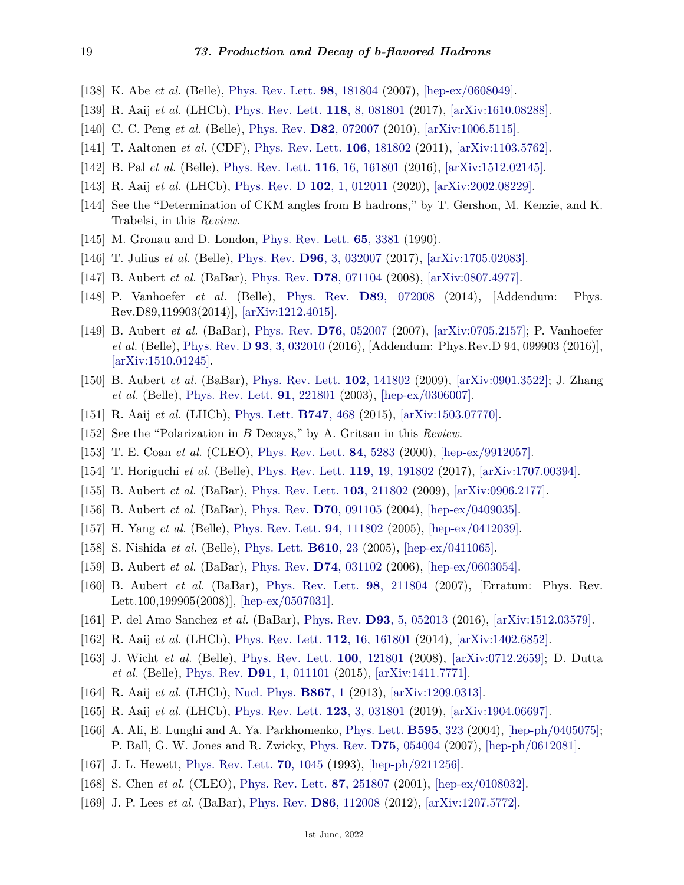- <span id="page-18-0"></span>[138] K. Abe *et al.* (Belle), [Phys. Rev. Lett.](http://doi.org/10.1103/PhysRevLett.98.181804) **98**[, 181804](http://doi.org/10.1103/PhysRevLett.98.181804) (2007), [\[hep-ex/0608049\].](https://arxiv.org/abs/hep-ex/0608049)
- <span id="page-18-1"></span>[139] R. Aaij *et al.* (LHCb), [Phys. Rev. Lett.](http://doi.org/10.1103/PhysRevLett.118.081801) **118**[, 8, 081801](http://doi.org/10.1103/PhysRevLett.118.081801) (2017), [\[arXiv:1610.08288\].](https://arxiv.org/abs/1610.08288)
- <span id="page-18-2"></span>[140] C. C. Peng *et al.* (Belle), [Phys. Rev.](http://doi.org/10.1103/PhysRevD.82.072007) **D82**[, 072007](http://doi.org/10.1103/PhysRevD.82.072007) (2010), [\[arXiv:1006.5115\].](https://arxiv.org/abs/1006.5115)
- <span id="page-18-3"></span>[141] T. Aaltonen *et al.* (CDF), [Phys. Rev. Lett.](http://doi.org/10.1103/PhysRevLett.106.181802) **106**[, 181802](http://doi.org/10.1103/PhysRevLett.106.181802) (2011), [\[arXiv:1103.5762\].](https://arxiv.org/abs/1103.5762)
- <span id="page-18-4"></span>[142] B. Pal *et al.* (Belle), [Phys. Rev. Lett.](http://doi.org/10.1103/PhysRevLett.116.161801) **116**[, 16, 161801](http://doi.org/10.1103/PhysRevLett.116.161801) (2016), [\[arXiv:1512.02145\].](https://arxiv.org/abs/1512.02145)
- <span id="page-18-5"></span>[143] R. Aaij *et al.* (LHCb), [Phys. Rev. D](http://doi.org/10.1103/PhysRevD.102.012011) **102**[, 1, 012011](http://doi.org/10.1103/PhysRevD.102.012011) (2020), [\[arXiv:2002.08229\].](https://arxiv.org/abs/2002.08229)
- <span id="page-18-6"></span>[144] See the "Determination of CKM angles from B hadrons," by T. Gershon, M. Kenzie, and K. Trabelsi, in this *Review*.
- <span id="page-18-7"></span>[145] M. Gronau and D. London, [Phys. Rev. Lett.](http://doi.org/10.1103/PhysRevLett.65.3381) **65**[, 3381](http://doi.org/10.1103/PhysRevLett.65.3381) (1990).
- <span id="page-18-8"></span>[146] T. Julius *et al.* (Belle), [Phys. Rev.](http://doi.org/10.1103/PhysRevD.96.032007) **D96**[, 3, 032007](http://doi.org/10.1103/PhysRevD.96.032007) (2017), [\[arXiv:1705.02083\].](https://arxiv.org/abs/1705.02083)
- <span id="page-18-10"></span><span id="page-18-9"></span>[147] B. Aubert *et al.* (BaBar), [Phys. Rev.](http://doi.org/10.1103/PhysRevD.78.071104) **D78**[, 071104](http://doi.org/10.1103/PhysRevD.78.071104) (2008), [\[arXiv:0807.4977\].](https://arxiv.org/abs/0807.4977)
- [148] P. Vanhoefer *et al.* (Belle), [Phys. Rev.](http://doi.org/10.1103/PhysRevD.89.072008) **D89**[, 072008](http://doi.org/10.1103/PhysRevD.89.072008) (2014), [Addendum: Phys. Rev.D89,119903(2014)], [\[arXiv:1212.4015\].](https://arxiv.org/abs/1212.4015)
- <span id="page-18-11"></span>[149] B. Aubert *et al.* (BaBar), [Phys. Rev.](http://doi.org/10.1103/PhysRevD.76.052007) **D76**[, 052007](http://doi.org/10.1103/PhysRevD.76.052007) (2007), [\[arXiv:0705.2157\];](https://arxiv.org/abs/0705.2157) P. Vanhoefer *et al.* (Belle), [Phys. Rev. D](http://doi.org/10.1103/PhysRevD.93.032010) **93**[, 3, 032010](http://doi.org/10.1103/PhysRevD.93.032010) (2016), [Addendum: Phys.Rev.D 94, 099903 (2016)], [\[arXiv:1510.01245\].](https://arxiv.org/abs/1510.01245)
- <span id="page-18-12"></span>[150] B. Aubert *et al.* (BaBar), [Phys. Rev. Lett.](http://doi.org/10.1103/PhysRevLett.102.141802) **102**[, 141802](http://doi.org/10.1103/PhysRevLett.102.141802) (2009), [\[arXiv:0901.3522\];](https://arxiv.org/abs/0901.3522) J. Zhang *et al.* (Belle), [Phys. Rev. Lett.](http://doi.org/10.1103/PhysRevLett.91.221801) **91**[, 221801](http://doi.org/10.1103/PhysRevLett.91.221801) (2003), [\[hep-ex/0306007\].](https://arxiv.org/abs/hep-ex/0306007)
- <span id="page-18-13"></span>[151] R. Aaij *et al.* (LHCb), [Phys. Lett.](http://doi.org/10.1016/j.physletb.2015.06.027) **[B747](http://doi.org/10.1016/j.physletb.2015.06.027)**, 468 (2015), [\[arXiv:1503.07770\].](https://arxiv.org/abs/1503.07770)
- <span id="page-18-14"></span>[152] See the "Polarization in *B* Decays," by A. Gritsan in this *Review*.
- <span id="page-18-15"></span>[153] T. E. Coan *et al.* (CLEO), [Phys. Rev. Lett.](http://doi.org/10.1103/PhysRevLett.84.5283) **84**[, 5283](http://doi.org/10.1103/PhysRevLett.84.5283) (2000), [\[hep-ex/9912057\].](https://arxiv.org/abs/hep-ex/9912057)
- <span id="page-18-29"></span>[154] T. Horiguchi *et al.* (Belle), [Phys. Rev. Lett.](http://doi.org/10.1103/PhysRevLett.119.191802) **119**[, 19, 191802](http://doi.org/10.1103/PhysRevLett.119.191802) (2017), [\[arXiv:1707.00394\].](https://arxiv.org/abs/1707.00394)
- <span id="page-18-16"></span>[155] B. Aubert *et al.* (BaBar), [Phys. Rev. Lett.](http://doi.org/10.1103/PhysRevLett.103.211802) **103**[, 211802](http://doi.org/10.1103/PhysRevLett.103.211802) (2009), [\[arXiv:0906.2177\].](https://arxiv.org/abs/0906.2177)
- <span id="page-18-17"></span>[156] B. Aubert *et al.* (BaBar), [Phys. Rev.](http://doi.org/10.1103/PhysRevD.70.091105) **D70**[, 091105](http://doi.org/10.1103/PhysRevD.70.091105) (2004), [\[hep-ex/0409035\].](https://arxiv.org/abs/hep-ex/0409035)
- <span id="page-18-19"></span>[157] H. Yang *et al.* (Belle), [Phys. Rev. Lett.](http://doi.org/10.1103/PhysRevLett.94.111802) **94**[, 111802](http://doi.org/10.1103/PhysRevLett.94.111802) (2005), [\[hep-ex/0412039\].](https://arxiv.org/abs/hep-ex/0412039)
- [158] S. Nishida *et al.* (Belle), [Phys. Lett.](http://doi.org/10.1016/j.physletb.2005.01.097) **[B610](http://doi.org/10.1016/j.physletb.2005.01.097)**, 23 (2005), [\[hep-ex/0411065\].](https://arxiv.org/abs/hep-ex/0411065)
- <span id="page-18-18"></span>[159] B. Aubert *et al.* (BaBar), [Phys. Rev.](http://doi.org/10.1103/PhysRevD.74.031102) **D74**[, 031102](http://doi.org/10.1103/PhysRevD.74.031102) (2006), [\[hep-ex/0603054\].](https://arxiv.org/abs/hep-ex/0603054)
- <span id="page-18-20"></span>[160] B. Aubert *et al.* (BaBar), [Phys. Rev. Lett.](http://doi.org/10.1103/PhysRevLett.98.211804) **98**[, 211804](http://doi.org/10.1103/PhysRevLett.98.211804) (2007), [Erratum: Phys. Rev. Lett.100,199905(2008)], [\[hep-ex/0507031\].](https://arxiv.org/abs/hep-ex/0507031)
- <span id="page-18-21"></span>[161] P. del Amo Sanchez *et al.* (BaBar), [Phys. Rev.](http://doi.org/10.1103/PhysRevD.93.052013) **D93**[, 5, 052013](http://doi.org/10.1103/PhysRevD.93.052013) (2016), [\[arXiv:1512.03579\].](https://arxiv.org/abs/1512.03579)
- <span id="page-18-22"></span>[162] R. Aaij *et al.* (LHCb), [Phys. Rev. Lett.](http://doi.org/10.1103/PhysRevLett.112.161801) **112**[, 16, 161801](http://doi.org/10.1103/PhysRevLett.112.161801) (2014), [\[arXiv:1402.6852\].](https://arxiv.org/abs/1402.6852)
- <span id="page-18-23"></span>[163] J. Wicht *et al.* (Belle), [Phys. Rev. Lett.](http://doi.org/10.1103/PhysRevLett.100.121801) **100**[, 121801](http://doi.org/10.1103/PhysRevLett.100.121801) (2008), [\[arXiv:0712.2659\];](https://arxiv.org/abs/0712.2659) D. Dutta *et al.* (Belle), [Phys. Rev.](http://doi.org/10.1103/PhysRevD.91.011101) **D91**[, 1, 011101](http://doi.org/10.1103/PhysRevD.91.011101) (2015), [\[arXiv:1411.7771\].](https://arxiv.org/abs/1411.7771)
- <span id="page-18-25"></span><span id="page-18-24"></span>[164] R. Aaij *et al.* (LHCb), [Nucl. Phys.](http://doi.org/10.1016/j.nuclphysb.2012.09.013) **[B867](http://doi.org/10.1016/j.nuclphysb.2012.09.013)**, 1 (2013), [\[arXiv:1209.0313\].](https://arxiv.org/abs/1209.0313)
- [165] R. Aaij *et al.* (LHCb), [Phys. Rev. Lett.](http://doi.org/10.1103/PhysRevLett.123.031801) **123**[, 3, 031801](http://doi.org/10.1103/PhysRevLett.123.031801) (2019), [\[arXiv:1904.06697\].](https://arxiv.org/abs/1904.06697)
- <span id="page-18-26"></span>[166] A. Ali, E. Lunghi and A. Ya. Parkhomenko, [Phys. Lett.](http://doi.org/10.1016/j.physletb.2004.06.039) **[B595](http://doi.org/10.1016/j.physletb.2004.06.039)**, 323 (2004), [\[hep-ph/0405075\];](https://arxiv.org/abs/hep-ph/0405075) P. Ball, G. W. Jones and R. Zwicky, [Phys. Rev.](http://doi.org/10.1103/PhysRevD.75.054004) **D75**[, 054004](http://doi.org/10.1103/PhysRevD.75.054004) (2007), [\[hep-ph/0612081\].](https://arxiv.org/abs/hep-ph/0612081)
- <span id="page-18-27"></span>[167] J. L. Hewett, [Phys. Rev. Lett.](http://doi.org/10.1103/PhysRevLett.70.1045) **70**[, 1045](http://doi.org/10.1103/PhysRevLett.70.1045) (1993), [\[hep-ph/9211256\].](https://arxiv.org/abs/hep-ph/9211256)
- <span id="page-18-28"></span>[168] S. Chen *et al.* (CLEO), [Phys. Rev. Lett.](http://doi.org/10.1103/PhysRevLett.87.251807) **87**[, 251807](http://doi.org/10.1103/PhysRevLett.87.251807) (2001), [\[hep-ex/0108032\].](https://arxiv.org/abs/hep-ex/0108032)
- [169] J. P. Lees *et al.* (BaBar), [Phys. Rev.](http://doi.org/10.1103/PhysRevD.86.112008) **D86**[, 112008](http://doi.org/10.1103/PhysRevD.86.112008) (2012), [\[arXiv:1207.5772\].](https://arxiv.org/abs/1207.5772)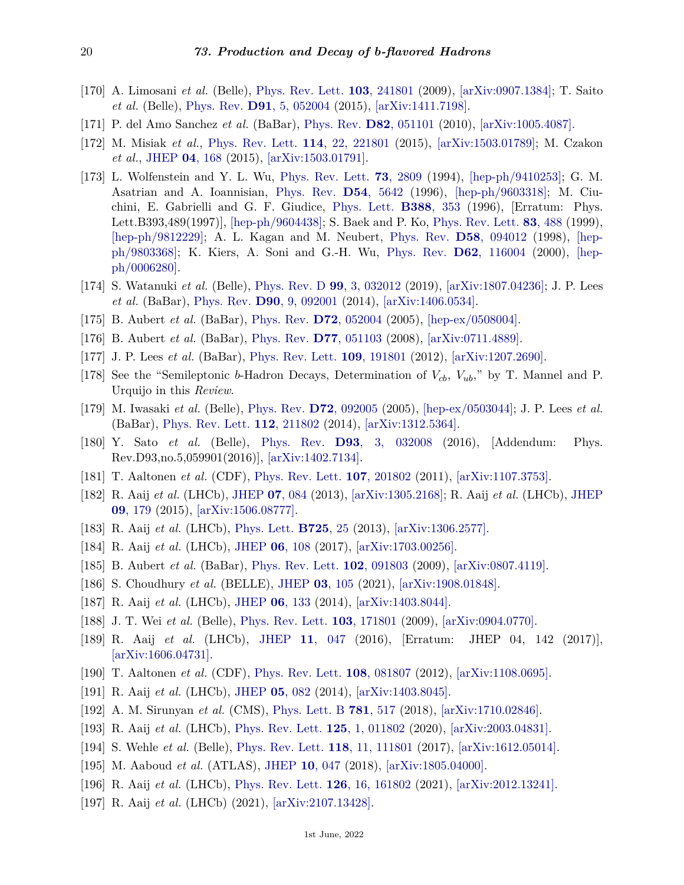- <span id="page-19-0"></span>[170] A. Limosani *et al.* (Belle), [Phys. Rev. Lett.](http://doi.org/10.1103/PhysRevLett.103.241801) **103**[, 241801](http://doi.org/10.1103/PhysRevLett.103.241801) (2009), [\[arXiv:0907.1384\];](https://arxiv.org/abs/0907.1384) T. Saito *et al.* (Belle), [Phys. Rev.](http://doi.org/10.1103/PhysRevD.91.052004) **D91**[, 5, 052004](http://doi.org/10.1103/PhysRevD.91.052004) (2015), [\[arXiv:1411.7198\].](https://arxiv.org/abs/1411.7198)
- <span id="page-19-1"></span>[171] P. del Amo Sanchez *et al.* (BaBar), [Phys. Rev.](http://doi.org/10.1103/PhysRevD.82.051101) **D82**[, 051101](http://doi.org/10.1103/PhysRevD.82.051101) (2010), [\[arXiv:1005.4087\].](https://arxiv.org/abs/1005.4087)
- <span id="page-19-2"></span>[172] M. Misiak *et al.*, [Phys. Rev. Lett.](http://doi.org/10.1103/PhysRevLett.114.221801) **114**[, 22, 221801](http://doi.org/10.1103/PhysRevLett.114.221801) (2015), [\[arXiv:1503.01789\];](https://arxiv.org/abs/1503.01789) M. Czakon *et al.*, [JHEP](http://doi.org/10.1007/JHEP04(2015)168) **04**[, 168](http://doi.org/10.1007/JHEP04(2015)168) (2015), [\[arXiv:1503.01791\].](https://arxiv.org/abs/1503.01791)
- <span id="page-19-3"></span>[173] L. Wolfenstein and Y. L. Wu, [Phys. Rev. Lett.](http://doi.org/10.1103/PhysRevLett.73.2809) **73**[, 2809](http://doi.org/10.1103/PhysRevLett.73.2809) (1994), [\[hep-ph/9410253\];](https://arxiv.org/abs/hep-ph/9410253) G. M. Asatrian and A. Ioannisian, [Phys. Rev.](http://doi.org/10.1103/PhysRevD.54.5642) **D54**[, 5642](http://doi.org/10.1103/PhysRevD.54.5642) (1996), [\[hep-ph/9603318\];](https://arxiv.org/abs/hep-ph/9603318) M. Ciuchini, E. Gabrielli and G. F. Giudice, [Phys. Lett.](http://doi.org/10.1016/S0370-2693(96)01168-9) **[B388](http://doi.org/10.1016/S0370-2693(96)01168-9)**, 353 (1996), [Erratum: Phys. Lett.B393,489(1997)], [\[hep-ph/9604438\];](https://arxiv.org/abs/hep-ph/9604438) S. Baek and P. Ko, [Phys. Rev. Lett.](http://doi.org/10.1103/PhysRevLett.83.488) **83**[, 488](http://doi.org/10.1103/PhysRevLett.83.488) (1999), [\[hep-ph/9812229\];](https://arxiv.org/abs/hep-ph/9812229) A. L. Kagan and M. Neubert, [Phys. Rev.](http://doi.org/10.1103/PhysRevD.58.094012) **D58**[, 094012](http://doi.org/10.1103/PhysRevD.58.094012) (1998), [\[hep](https://arxiv.org/abs/hep-ph/9803368)[ph/9803368\];](https://arxiv.org/abs/hep-ph/9803368) K. Kiers, A. Soni and G.-H. Wu, [Phys. Rev.](http://doi.org/10.1103/PhysRevD.62.116004) **D62**[, 116004](http://doi.org/10.1103/PhysRevD.62.116004) (2000), [\[hep](https://arxiv.org/abs/hep-ph/0006280)[ph/0006280\].](https://arxiv.org/abs/hep-ph/0006280)
- <span id="page-19-4"></span>[174] S. Watanuki *et al.* (Belle), [Phys. Rev. D](http://doi.org/10.1103/PhysRevD.99.032012) **99**[, 3, 032012](http://doi.org/10.1103/PhysRevD.99.032012) (2019), [\[arXiv:1807.04236\];](https://arxiv.org/abs/1807.04236) J. P. Lees *et al.* (BaBar), [Phys. Rev.](http://doi.org/10.1103/PhysRevD.90.092001) **D90**[, 9, 092001](http://doi.org/10.1103/PhysRevD.90.092001) (2014), [\[arXiv:1406.0534\].](https://arxiv.org/abs/1406.0534)
- <span id="page-19-5"></span>[175] B. Aubert *et al.* (BaBar), [Phys. Rev.](http://doi.org/10.1103/PhysRevD.72.052004) **D72**[, 052004](http://doi.org/10.1103/PhysRevD.72.052004) (2005), [\[hep-ex/0508004\].](https://arxiv.org/abs/hep-ex/0508004)
- <span id="page-19-6"></span>[176] B. Aubert *et al.* (BaBar), [Phys. Rev.](http://doi.org/10.1103/PhysRevD.77.051103) **D77**[, 051103](http://doi.org/10.1103/PhysRevD.77.051103) (2008), [\[arXiv:0711.4889\].](https://arxiv.org/abs/0711.4889)
- <span id="page-19-7"></span>[177] J. P. Lees *et al.* (BaBar), [Phys. Rev. Lett.](http://doi.org/10.1103/PhysRevLett.109.191801) **109**[, 191801](http://doi.org/10.1103/PhysRevLett.109.191801) (2012), [\[arXiv:1207.2690\].](https://arxiv.org/abs/1207.2690)
- <span id="page-19-8"></span>[178] See the "Semileptonic *b*-Hadron Decays, Determination of *Vcb*, *Vub*," by T. Mannel and P. Urquijo in this *Review*.
- <span id="page-19-9"></span>[179] M. Iwasaki *et al.* (Belle), [Phys. Rev.](http://doi.org/10.1103/PhysRevD.72.092005) **D72**[, 092005](http://doi.org/10.1103/PhysRevD.72.092005) (2005), [\[hep-ex/0503044\];](https://arxiv.org/abs/hep-ex/0503044) J. P. Lees *et al.* (BaBar), [Phys. Rev. Lett.](http://doi.org/10.1103/PhysRevLett.112.211802) **112**[, 211802](http://doi.org/10.1103/PhysRevLett.112.211802) (2014), [\[arXiv:1312.5364\].](https://arxiv.org/abs/1312.5364)
- <span id="page-19-10"></span>[180] Y. Sato *et al.* (Belle), [Phys. Rev.](http://doi.org/10.1103/PhysRevD.93.059901) **D93**[, 3, 032008](http://doi.org/10.1103/PhysRevD.93.059901) (2016), [Addendum: Phys. Rev.D93,no.5,059901(2016)], [\[arXiv:1402.7134\].](https://arxiv.org/abs/1402.7134)
- <span id="page-19-11"></span>[181] T. Aaltonen *et al.* (CDF), [Phys. Rev. Lett.](http://doi.org/10.1103/PhysRevLett.107.201802) **107**[, 201802](http://doi.org/10.1103/PhysRevLett.107.201802) (2011), [\[arXiv:1107.3753\].](https://arxiv.org/abs/1107.3753)
- <span id="page-19-12"></span>[182] R. Aaij *et al.* (LHCb), [JHEP](http://doi.org/10.1007/JHEP07(2013)084) **07**[, 084](http://doi.org/10.1007/JHEP07(2013)084) (2013), [\[arXiv:1305.2168\];](https://arxiv.org/abs/1305.2168) R. Aaij *et al.* (LHCb), [JHEP](http://doi.org/10.1007/JHEP09(2015)179) **09**[, 179](http://doi.org/10.1007/JHEP09(2015)179) (2015), [\[arXiv:1506.08777\].](https://arxiv.org/abs/1506.08777)
- <span id="page-19-13"></span>[183] R. Aaij *et al.* (LHCb), [Phys. Lett.](http://doi.org/10.1016/j.physletb.2013.06.060) **[B725](http://doi.org/10.1016/j.physletb.2013.06.060)**, 25 (2013), [\[arXiv:1306.2577\].](https://arxiv.org/abs/1306.2577)
- <span id="page-19-14"></span>[184] R. Aaij *et al.* (LHCb), [JHEP](http://doi.org/10.1007/JHEP06(2017)108) **06**[, 108](http://doi.org/10.1007/JHEP06(2017)108) (2017), [\[arXiv:1703.00256\].](https://arxiv.org/abs/1703.00256)
- <span id="page-19-15"></span>[185] B. Aubert *et al.* (BaBar), [Phys. Rev. Lett.](http://doi.org/10.1103/PhysRevLett.102.091803) **102**[, 091803](http://doi.org/10.1103/PhysRevLett.102.091803) (2009), [\[arXiv:0807.4119\].](https://arxiv.org/abs/0807.4119)
- <span id="page-19-21"></span>[186] S. Choudhury *et al.* (BELLE), [JHEP](http://doi.org/10.1007/JHEP03(2021)105) **03**[, 105](http://doi.org/10.1007/JHEP03(2021)105) (2021), [\[arXiv:1908.01848\].](https://arxiv.org/abs/1908.01848)
- [187] R. Aaij *et al.* (LHCb), [JHEP](http://doi.org/10.1007/JHEP06(2014)133) **06**[, 133](http://doi.org/10.1007/JHEP06(2014)133) (2014), [\[arXiv:1403.8044\].](https://arxiv.org/abs/1403.8044)
- <span id="page-19-20"></span>[188] J. T. Wei *et al.* (Belle), [Phys. Rev. Lett.](http://doi.org/10.1103/PhysRevLett.103.171801) **103**[, 171801](http://doi.org/10.1103/PhysRevLett.103.171801) (2009), [\[arXiv:0904.0770\].](https://arxiv.org/abs/0904.0770)
- <span id="page-19-16"></span>[189] R. Aaij *et al.* (LHCb), [JHEP](http://doi.org/10.1007/JHEP11(2016)047) **11**[, 047](http://doi.org/10.1007/JHEP11(2016)047) (2016), [Erratum: JHEP 04, 142 (2017)], [\[arXiv:1606.04731\].](https://arxiv.org/abs/1606.04731)
- <span id="page-19-17"></span>[190] T. Aaltonen *et al.* (CDF), [Phys. Rev. Lett.](http://doi.org/10.1103/PhysRevLett.108.081807) **108**[, 081807](http://doi.org/10.1103/PhysRevLett.108.081807) (2012), [\[arXiv:1108.0695\].](https://arxiv.org/abs/1108.0695)
- [191] R. Aaij *et al.* (LHCb), [JHEP](http://doi.org/10.1007/JHEP05(2014)082) **05**[, 082](http://doi.org/10.1007/JHEP05(2014)082) (2014), [\[arXiv:1403.8045\].](https://arxiv.org/abs/1403.8045)
- <span id="page-19-18"></span>[192] A. M. Sirunyan *et al.* (CMS), [Phys. Lett. B](http://doi.org/10.1016/j.physletb.2018.04.030) **781**[, 517](http://doi.org/10.1016/j.physletb.2018.04.030) (2018), [\[arXiv:1710.02846\].](https://arxiv.org/abs/1710.02846)
- [193] R. Aaij *et al.* (LHCb), [Phys. Rev. Lett.](http://doi.org/10.1103/PhysRevLett.125.011802) **125**[, 1, 011802](http://doi.org/10.1103/PhysRevLett.125.011802) (2020), [\[arXiv:2003.04831\].](https://arxiv.org/abs/2003.04831)
- <span id="page-19-19"></span>[194] S. Wehle *et al.* (Belle), [Phys. Rev. Lett.](http://doi.org/10.1103/PhysRevLett.118.111801) **118**[, 11, 111801](http://doi.org/10.1103/PhysRevLett.118.111801) (2017), [\[arXiv:1612.05014\].](https://arxiv.org/abs/1612.05014)
- [195] M. Aaboud *et al.* (ATLAS), [JHEP](http://doi.org/10.1007/JHEP10(2018)047) **10**[, 047](http://doi.org/10.1007/JHEP10(2018)047) (2018), [\[arXiv:1805.04000\].](https://arxiv.org/abs/1805.04000)
- [196] R. Aaij *et al.* (LHCb), [Phys. Rev. Lett.](http://doi.org/10.1103/PhysRevLett.126.161802) **126**[, 16, 161802](http://doi.org/10.1103/PhysRevLett.126.161802) (2021), [\[arXiv:2012.13241\].](https://arxiv.org/abs/2012.13241)
- [197] R. Aaij *et al.* (LHCb) (2021), [\[arXiv:2107.13428\].](https://arxiv.org/abs/2107.13428)